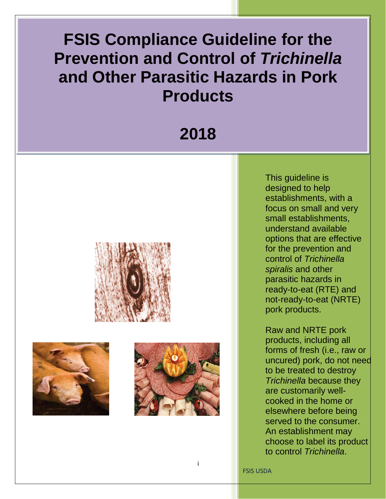# **Prevention and Control of** *Trichinella*   **and Other Parasitic Hazards in Pork FSIS Compliance Guideline for the Products**

# **2018**







i

 This guideline is focus on small and very for the prevention and *spiralis* and other ready-to-eat (RTE) and not-ready-to-eat (NRTE) designed to help establishments, with a small establishments, understand available options that are effective control of *Trichinella*  parasitic hazards in pork products.

 products, including all forms of fresh (i.e., raw or to be treated to destroy served to the consumer. An establishment may choose to label its product Raw and NRTE pork uncured) pork, do not need *Trichinella* because they are customarily wellcooked in the home or elsewhere before being to control *Trichinella*.

FSIS USDA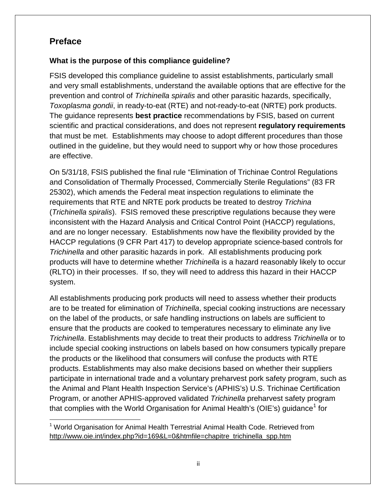### <span id="page-1-1"></span>**Preface**

#### **What is the purpose of this compliance guideline?**

 FSIS developed this compliance guideline to assist establishments, particularly small and very small establishments, understand the available options that are effective for the that must be met. Establishments may choose to adopt different procedures than those outlined in the guideline, but they would need to support why or how those procedures prevention and control of *Trichinella spiralis* and other parasitic hazards, specifically, *Toxoplasma gondii*, in ready-to-eat (RTE) and not-ready-to-eat (NRTE) pork products. The guidance represents **best practice** recommendations by FSIS, based on current scientific and practical considerations, and does not represent **regulatory requirements**  are effective.

 requirements that RTE and NRTE pork products be treated to destroy *Trichina*  (*Trichinella spiralis*). FSIS removed these prescriptive regulations because they were On 5/31/18, FSIS published the final rule "Elimination of Trichinae Control Regulations and Consolidation of Thermally Processed, Commercially Sterile Regulations" (83 FR 25302), which amends the Federal meat inspection regulations to eliminate the inconsistent with the Hazard Analysis and Critical Control Point (HACCP) regulations, and are no longer necessary. Establishments now have the flexibility provided by the HACCP regulations (9 CFR Part 417) to develop appropriate science-based controls for *Trichinella* and other parasitic hazards in pork. All establishments producing pork products will have to determine whether *Trichinella* is a hazard reasonably likely to occur (RLTO) in their processes. If so, they will need to address this hazard in their HACCP system.

 the Animal and Plant Health Inspection Service's (APHIS's) U.S. Trichinae Certification Program, or another APHIS-approved validated *Trichinella* preharvest safety program that complies with the World Organisation for Animal Health's (OIE's) guidance<sup>[1](#page-1-0)</sup> for All establishments producing pork products will need to assess whether their products are to be treated for elimination of *Trichinella*, special cooking instructions are necessary on the label of the products, or safe handling instructions on labels are sufficient to ensure that the products are cooked to temperatures necessary to eliminate any live *Trichinella*. Establishments may decide to treat their products to address *Trichinella* or to include special cooking instructions on labels based on how consumers typically prepare the products or the likelihood that consumers will confuse the products with RTE products. Establishments may also make decisions based on whether their suppliers participate in international trade and a voluntary preharvest pork safety program, such as

<span id="page-1-0"></span> $\overline{a}$ http://www.oie.int/index.php?id=169&L=0&htmfile=chapitre\_trichinella\_spp.htm 1 World Organisation for Animal Health Terrestrial Animal Health Code. Retrieved from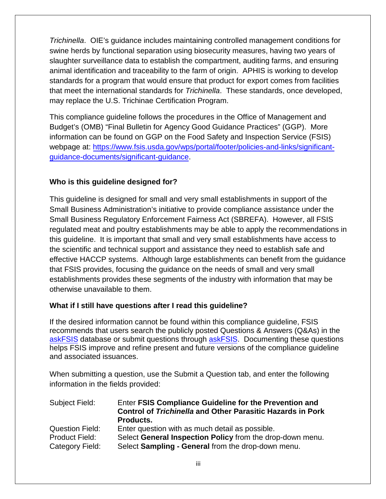standards for a program that would ensure that product for export comes from facilities that meet the international standards for *Trichinella*. These standards, once developed, *Trichinella*. OIE's guidance includes maintaining controlled management conditions for swine herds by functional separation using biosecurity measures, having two years of slaughter surveillance data to establish the compartment, auditing farms, and ensuring animal identification and traceability to the farm of origin. APHIS is working to develop may replace the U.S. Trichinae Certification Program.

This compliance guideline follows the procedures in the Office of Management and Budget's (OMB) "Final Bulletin for Agency Good Guidance Practices" (GGP). More information can be found on GGP on the Food Safety and Inspection Service (FSIS) webpage at: [https://www.fsis.usda.gov/wps/portal/footer/policies-and-links/significant](https://www.fsis.usda.gov/wps/portal/footer/policies-and-links/significant-guidance-documents/significant-guidance)[guidance-documents/significant-guidance.](https://www.fsis.usda.gov/wps/portal/footer/policies-and-links/significant-guidance-documents/significant-guidance)

#### **Who is this guideline designed for?**

 that FSIS provides, focusing the guidance on the needs of small and very small establishments provides these segments of the industry with information that may be otherwise unavailable to them. This guideline is designed for small and very small establishments in support of the Small Business Administration's initiative to provide compliance assistance under the Small Business Regulatory Enforcement Fairness Act (SBREFA). However, all FSIS regulated meat and poultry establishments may be able to apply the recommendations in this guideline. It is important that small and very small establishments have access to the scientific and technical support and assistance they need to establish safe and effective HACCP systems. Although large establishments can benefit from the guidance

#### **What if I still have questions after I read this guideline?**

[askFSIS](http://askfsis.custhelp.com/) database or submit questions through **askFSIS**. Documenting these questions helps FSIS improve and refine present and future versions of the compliance guideline If the desired information cannot be found within this compliance guideline, FSIS recommends that users search the publicly posted Questions & Answers (Q&As) in the and associated issuances.

When submitting a question, use the Submit a Question tab, and enter the following information in the fields provided:

| Subject Field:         | Enter FSIS Compliance Guideline for the Prevention and<br><b>Control of Trichinella and Other Parasitic Hazards in Pork</b><br>Products. |
|------------------------|------------------------------------------------------------------------------------------------------------------------------------------|
| <b>Question Field:</b> | Enter question with as much detail as possible.                                                                                          |
| <b>Product Field:</b>  | Select General Inspection Policy from the drop-down menu.                                                                                |
| Category Field:        | Select Sampling - General from the drop-down menu.                                                                                       |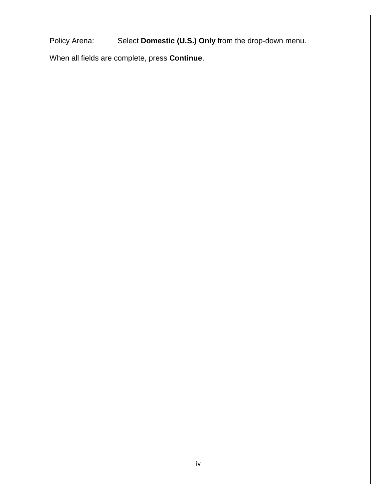Policy Arena: Select Domestic (U.S.) Only from the drop-down menu.

When all fields are complete, press **Continue**.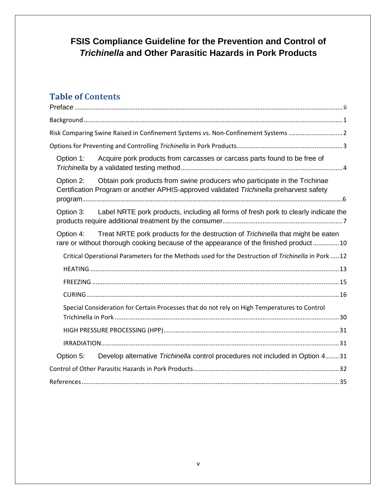# **FSIS Compliance Guideline for the Prevention and Control of** *Trichinella* **and Other Parasitic Hazards in Pork Products**

# **Table of Contents**

| Risk Comparing Swine Raised in Confinement Systems vs. Non-Confinement Systems 2                                                                                                     |
|--------------------------------------------------------------------------------------------------------------------------------------------------------------------------------------|
|                                                                                                                                                                                      |
| Acquire pork products from carcasses or carcass parts found to be free of<br>Option 1:                                                                                               |
| Obtain pork products from swine producers who participate in the Trichinae<br>Option 2:<br>Certification Program or another APHIS-approved validated Trichinella preharvest safety   |
| Option 3: Label NRTE pork products, including all forms of fresh pork to clearly indicate the                                                                                        |
| Treat NRTE pork products for the destruction of Trichinella that might be eaten<br>Option 4:<br>rare or without thorough cooking because of the appearance of the finished product10 |
| Critical Operational Parameters for the Methods used for the Destruction of Trichinella in Pork  12                                                                                  |
|                                                                                                                                                                                      |
|                                                                                                                                                                                      |
|                                                                                                                                                                                      |
| Special Consideration for Certain Processes that do not rely on High Temperatures to Control                                                                                         |
|                                                                                                                                                                                      |
|                                                                                                                                                                                      |
| Develop alternative Trichinella control procedures not included in Option 431<br>Option 5:                                                                                           |
|                                                                                                                                                                                      |
|                                                                                                                                                                                      |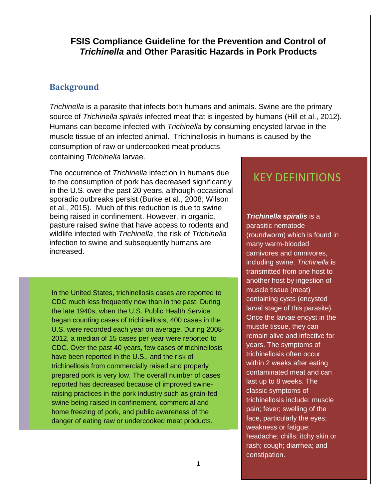#### **FSIS Compliance Guideline for the Prevention and Control of** *Trichinella* **and Other Parasitic Hazards in Pork Products**

#### <span id="page-5-0"></span>**Background**

*Trichinella* is a parasite that infects both humans and animals. Swine are the primary source of *Trichinella spiralis* infected meat that is ingested by humans (Hill et al., 2012). muscle tissue of an infected animal. Trichinellosis in humans is caused by the containing *Trichinella* larvae. Humans can become infected with *Trichinella* by consuming encysted larvae in the consumption of raw or undercooked meat products

 in the U.S. over the past 20 years, although occasional et al., 2015). Much of this reduction is due to swine pasture raised swine that have access to rodents and increased. The occurrence of *Trichinella* infection in humans due to the consumption of pork has decreased significantly sporadic outbreaks persist (Burke et al., 2008; Wilson being raised in confinement. However, in organic, wildlife infected with *Trichinella*, the risk of *Trichinella*  infection to swine and subsequently humans are

 2012, a median of 15 cases per year were reported to In the United States, trichinellosis cases are reported to CDC much less frequently now than in the past. During the late 1940s, when the U.S. Public Health Service began counting cases of trichinellosis, 400 cases in the U.S. were recorded each year on average. During 2008- CDC. Over the past 40 years, few cases of trichinellosis have been reported in the U.S., and the risk of trichinellosis from commercially raised and properly prepared pork is very low. The overall number of cases reported has decreased because of improved swineraising practices in the pork industry such as grain-fed swine being raised in confinement, commercial and home freezing of pork, and public awareness of the danger of eating raw or undercooked meat products.

# KEY DEFINITIONS

#### *Trichinella spiralis* is a

 transmitted from one host to years. The symptoms of last up to 8 weeks. The weakness or fatigue; parasitic nematode (roundworm) which is found in many warm-blooded carnivores and omnivores, including swine. *Trichinella* is another host by ingestion of muscle tissue (meat) containing cysts (encysted larval stage of this parasite). Once the larvae encyst in the muscle tissue, they can remain alive and infective for trichinellosis often occur within 2 weeks after eating contaminated meat and can classic symptoms of trichinellosis include: muscle pain; fever; swelling of the face, particularly the eyes; headache; chills; itchy skin or rash; cough; diarrhea; and constipation.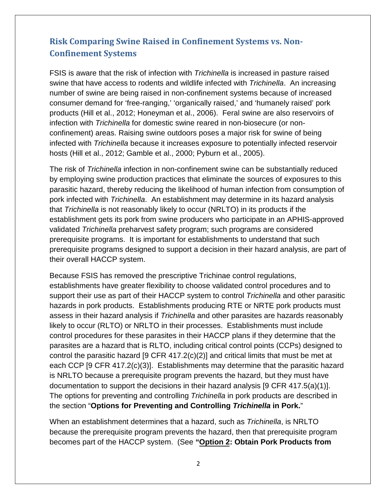## <span id="page-6-0"></span> **Risk Comparing Swine Raised in Confinement Systems vs. Non-Confinement Systems**

 FSIS is aware that the risk of infection with *Trichinella* is increased in pasture raised products (Hill et al., 2012; Honeyman et al., 2006). Feral swine are also reservoirs of confinement) areas. Raising swine outdoors poses a major risk for swine of being hosts (Hill et al., 2012; Gamble et al., 2000; Pyburn et al., 2005). swine that have access to rodents and wildlife infected with *Trichinella*. An increasing number of swine are being raised in non-confinement systems because of increased consumer demand for 'free-ranging,' 'organically raised,' and 'humanely raised' pork infection with *Trichinella* for domestic swine reared in non-biosecure (or noninfected with *Trichinella* because it increases exposure to potentially infected reservoir

 The risk of *Trichinella* infection in non-confinement swine can be substantially reduced that *Trichinella* is not reasonably likely to occur (NRLTO) in its products if the validated *Trichinella* preharvest safety program; such programs are considered by employing swine production practices that eliminate the sources of exposures to this parasitic hazard, thereby reducing the likelihood of human infection from consumption of pork infected with *Trichinella*. An establishment may determine in its hazard analysis establishment gets its pork from swine producers who participate in an APHIS-approved prerequisite programs. It is important for establishments to understand that such prerequisite programs designed to support a decision in their hazard analysis, are part of their overall HACCP system.

 support their use as part of their HACCP system to control *Trichinella* and other parasitic hazards in pork products. Establishments producing RTE or NRTE pork products must assess in their hazard analysis if *Trichinella* and other parasites are hazards reasonably control the parasitic hazard [9 CFR 417.2(c)(2)] and critical limits that must be met at documentation to support the decisions in their hazard analysis [9 CFR 417.5(a)(1)]. The options for preventing and controlling *Trichinella* in pork products are described in Because FSIS has removed the prescriptive Trichinae control regulations, establishments have greater flexibility to choose validated control procedures and to likely to occur (RLTO) or NRLTO in their processes. Establishments must include control procedures for these parasites in their HACCP plans if they determine that the parasites are a hazard that is RLTO, including critical control points (CCPs) designed to each CCP [9 CFR 417.2(c)(3)]. Establishments may determine that the parasitic hazard is NRLTO because a prerequisite program prevents the hazard, but they must have the section "**Options for Preventing and Controlling** *Trichinella* **in Pork.**"

 becomes part of the HACCP system. (See **"Option 2: Obtain Pork Products from**  When an establishment determines that a hazard, such as *Trichinella*, is NRLTO because the prerequisite program prevents the hazard, then that prerequisite program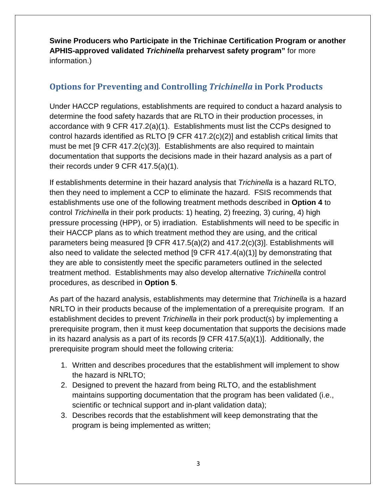**Swine Producers who Participate in the Trichinae Certification Program or another**  information.) **APHIS-approved validated** *Trichinella* **preharvest safety program"** for more

### <span id="page-7-0"></span> **Options for Preventing and Controlling** *Trichinella* **in Pork Products**

 accordance with 9 CFR 417.2(a)(1). Establishments must list the CCPs designed to their records under 9 CFR 417.5(a)(1). Under HACCP regulations, establishments are required to conduct a hazard analysis to determine the food safety hazards that are RLTO in their production processes, in control hazards identified as RLTO [9 CFR 417.2(c)(2)] and establish critical limits that must be met [9 CFR 417.2(c)(3)]. Establishments are also required to maintain documentation that supports the decisions made in their hazard analysis as a part of

 then they need to implement a CCP to eliminate the hazard. FSIS recommends that pressure processing (HPP), or 5) irradiation. Establishments will need to be specific in treatment method. Establishments may also develop alternative *Trichinella* control If establishments determine in their hazard analysis that *Trichinella* is a hazard RLTO, establishments use one of the following treatment methods described in **Option 4** to control *Trichinella* in their pork products: 1) heating, 2) freezing, 3) curing, 4) high their HACCP plans as to which treatment method they are using, and the critical parameters being measured [9 CFR 417.5(a)(2) and 417.2(c)(3)]. Establishments will also need to validate the selected method [9 CFR 417.4(a)(1)] by demonstrating that they are able to consistently meet the specific parameters outlined in the selected procedures, as described in **Option 5**.

 As part of the hazard analysis, establishments may determine that *Trichinella* is a hazard in its hazard analysis as a part of its records [9 CFR 417.5(a)(1)]. Additionally, the NRLTO in their products because of the implementation of a prerequisite program. If an establishment decides to prevent *Trichinella* in their pork product(s) by implementing a prerequisite program, then it must keep documentation that supports the decisions made prerequisite program should meet the following criteria:

- 1. Written and describes procedures that the establishment will implement to show the hazard is NRLTO;
- 2. Designed to prevent the hazard from being RLTO, and the establishment maintains supporting documentation that the program has been validated (i.e., scientific or technical support and in-plant validation data);
- 3. Describes records that the establishment will keep demonstrating that the program is being implemented as written;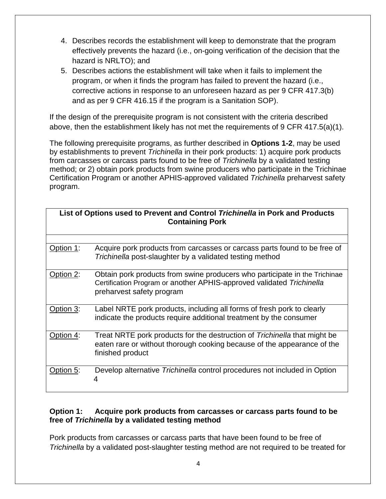- 4. Describes records the establishment will keep to demonstrate that the program effectively prevents the hazard (i.e., on-going verification of the decision that the hazard is NRLTO); and
- 5. Describes actions the establishment will take when it fails to implement the program, or when it finds the program has failed to prevent the hazard (i.e., corrective actions in response to an unforeseen hazard as per 9 CFR 417.3(b) and as per 9 CFR 416.15 if the program is a Sanitation SOP).

 above, then the establishment likely has not met the requirements of 9 CFR 417.5(a)(1). If the design of the prerequisite program is not consistent with the criteria described

 by establishments to prevent *Trichinella* in their pork products: 1) acquire pork products Certification Program or another APHIS-approved validated *Trichinella* preharvest safety The following prerequisite programs, as further described in **Options 1-2**, may be used from carcasses or carcass parts found to be free of *Trichinella* by a validated testing method; or 2) obtain pork products from swine producers who participate in the Trichinae program.

| List of Options used to Prevent and Control Trichinella in Pork and Products<br><b>Containing Pork</b> |                                                                                                                                                                                  |  |  |
|--------------------------------------------------------------------------------------------------------|----------------------------------------------------------------------------------------------------------------------------------------------------------------------------------|--|--|
|                                                                                                        |                                                                                                                                                                                  |  |  |
| Option 1:                                                                                              | Acquire pork products from carcasses or carcass parts found to be free of<br>Trichinella post-slaughter by a validated testing method                                            |  |  |
| Option 2:                                                                                              | Obtain pork products from swine producers who participate in the Trichinae<br>Certification Program or another APHIS-approved validated Trichinella<br>preharvest safety program |  |  |
| Option 3:                                                                                              | Label NRTE pork products, including all forms of fresh pork to clearly<br>indicate the products require additional treatment by the consumer                                     |  |  |
| Option 4:                                                                                              | Treat NRTE pork products for the destruction of Trichinella that might be<br>eaten rare or without thorough cooking because of the appearance of the<br>finished product         |  |  |
| Option 5:                                                                                              | Develop alternative Trichinella control procedures not included in Option<br>4                                                                                                   |  |  |

#### <span id="page-8-0"></span> **Option 1: Acquire pork products from carcasses or carcass parts found to be free of** *Trichinella* **by a validated testing method**

 Pork products from carcasses or carcass parts that have been found to be free of *Trichinella* by a validated post-slaughter testing method are not required to be treated for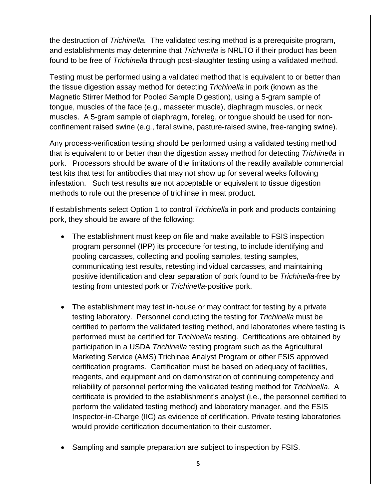the destruction of *Trichinella.* The validated testing method is a prerequisite program, and establishments may determine that *Trichinella* is NRLTO if their product has been found to be free of *Trichinella* through post-slaughter testing using a validated method.

 the tissue digestion assay method for detecting *Trichinella* in pork (known as the muscles. A 5-gram sample of diaphragm, foreleg, or tongue should be used for non- confinement raised swine (e.g., feral swine, pasture-raised swine, free-ranging swine). Testing must be performed using a validated method that is equivalent to or better than Magnetic Stirrer Method for Pooled Sample Digestion), using a 5-gram sample of tongue, muscles of the face (e.g., masseter muscle), diaphragm muscles, or neck

 pork. Processors should be aware of the limitations of the readily available commercial test kits that test for antibodies that may not show up for several weeks following Any process-verification testing should be performed using a validated testing method that is equivalent to or better than the digestion assay method for detecting *Trichinella* in infestation. Such test results are not acceptable or equivalent to tissue digestion methods to rule out the presence of trichinae in meat product.

 If establishments select Option 1 to control *Trichinella* in pork and products containing pork, they should be aware of the following:

- positive identification and clear separation of pork found to be *Trichinella*-free by • The establishment must keep on file and make available to FSIS inspection program personnel (IPP) its procedure for testing, to include identifying and pooling carcasses, collecting and pooling samples, testing samples, communicating test results, retesting individual carcasses, and maintaining testing from untested pork or *Trichinella*-positive pork.
- • The establishment may test in-house or may contract for testing by a private testing laboratory. Personnel conducting the testing for *Trichinella* must be performed must be certified for *Trichinella* testing. Certifications are obtained by Marketing Service (AMS) Trichinae Analyst Program or other FSIS approved certification programs. Certification must be based on adequacy of facilities, reliability of personnel performing the validated testing method for *Trichinella*. A Inspector-in-Charge (IIC) as evidence of certification. Private testing laboratories certified to perform the validated testing method, and laboratories where testing is participation in a USDA *Trichinella* testing program such as the Agricultural reagents, and equipment and on demonstration of continuing competency and certificate is provided to the establishment's analyst (i.e., the personnel certified to perform the validated testing method) and laboratory manager, and the FSIS would provide certification documentation to their customer.
- Sampling and sample preparation are subject to inspection by FSIS.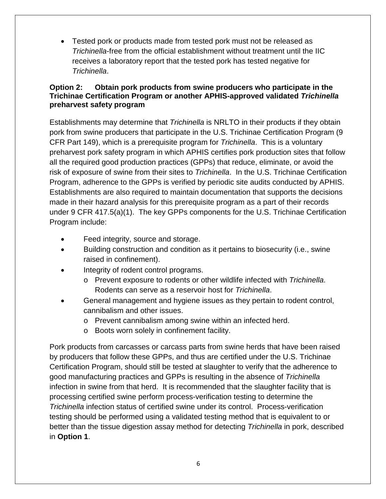• Tested pork or products made from tested pork must not be released as *Trichinella*-free from the official establishment without treatment until the IIC receives a laboratory report that the tested pork has tested negative for *Trichinella*.

#### <span id="page-10-0"></span> **Trichinae Certification Program or another APHIS-approved validated** *Trichinella*   **preharvest safety program Option 2: Obtain pork products from swine producers who participate in the**

 Establishments may determine that *Trichinella* is NRLTO in their products if they obtain CFR Part 149), which is a prerequisite program for *Trichinella*. This is a voluntary preharvest pork safety program in which APHIS certifies pork production sites that follow risk of exposure of swine from their sites to *Trichinella*. In the U.S. Trichinae Certification made in their hazard analysis for this prerequisite program as a part of their records under 9 CFR 417.5(a)(1). The key GPPs components for the U.S. Trichinae Certification Program include: pork from swine producers that participate in the U.S. Trichinae Certification Program (9 all the required good production practices (GPPs) that reduce, eliminate, or avoid the Program, adherence to the GPPs is verified by periodic site audits conducted by APHIS. Establishments are also required to maintain documentation that supports the decisions

- Feed integrity, source and storage.
- Building construction and condition as it pertains to biosecurity (i.e., swine raised in confinement).
- Integrity of rodent control programs.
	- Rodents can serve as a reservoir host for *Trichinella*. o Prevent exposure to rodents or other wildlife infected with *Trichinella*.
- General management and hygiene issues as they pertain to rodent control, cannibalism and other issues.
	- o Prevent cannibalism among swine within an infected herd.
	- o Boots worn solely in confinement facility.

 by producers that follow these GPPs, and thus are certified under the U.S. Trichinae better than the tissue digestion assay method for detecting *Trichinella* in pork, described Pork products from carcasses or carcass parts from swine herds that have been raised Certification Program, should still be tested at slaughter to verify that the adherence to good manufacturing practices and GPPs is resulting in the absence of *Trichinella*  infection in swine from that herd. It is recommended that the slaughter facility that is processing certified swine perform process-verification testing to determine the *Trichinella* infection status of certified swine under its control. Process-verification testing should be performed using a validated testing method that is equivalent to or in **Option 1**.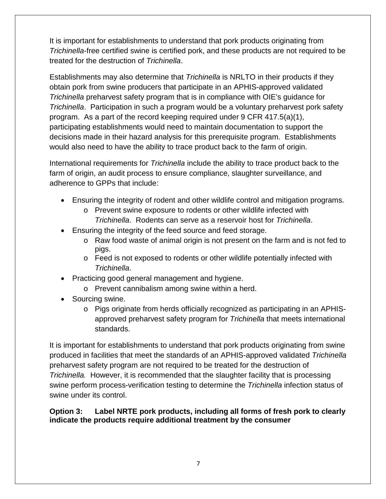It is important for establishments to understand that pork products originating from *Trichinella*-free certified swine is certified pork, and these products are not required to be treated for the destruction of *Trichinella*.

 Establishments may also determine that *Trichinella* is NRLTO in their products if they obtain pork from swine producers that participate in an APHIS-approved validated *Trichinella*. Participation in such a program would be a voluntary preharvest pork safety program. As a part of the record keeping required under 9 CFR 417.5(a)(1), would also need to have the ability to trace product back to the farm of origin. *Trichinella* preharvest safety program that is in compliance with OIE's guidance for participating establishments would need to maintain documentation to support the decisions made in their hazard analysis for this prerequisite program. Establishments

 farm of origin, an audit process to ensure compliance, slaughter surveillance, and adherence to GPPs that include: International requirements for *Trichinella* include the ability to trace product back to the

- • Ensuring the integrity of rodent and other wildlife control and mitigation programs.
	- *Trichinella*. Rodents can serve as a reservoir host for *Trichinella*. o Prevent swine exposure to rodents or other wildlife infected with
- Ensuring the integrity of the feed source and feed storage.
	- o Raw food waste of animal origin is not present on the farm and is not fed to pigs.
	- o Feed is not exposed to rodents or other wildlife potentially infected with *Trichinella*.
- Practicing good general management and hygiene.
	- o Prevent cannibalism among swine within a herd.
- Sourcing swine.
	- o Pigs originate from herds officially recognized as participating in an APHISapproved preharvest safety program for *Trichinella* that meets international standards.

 It is important for establishments to understand that pork products originating from swine preharvest safety program are not required to be treated for the destruction of produced in facilities that meet the standards of an APHIS-approved validated *Trichinella Trichinella.* However, it is recommended that the slaughter facility that is processing swine perform process-verification testing to determine the *Trichinella* infection status of swine under its control.

#### <span id="page-11-0"></span>**Option 3: Label NRTE pork products, including all forms of fresh pork to clearly indicate the products require additional treatment by the consumer**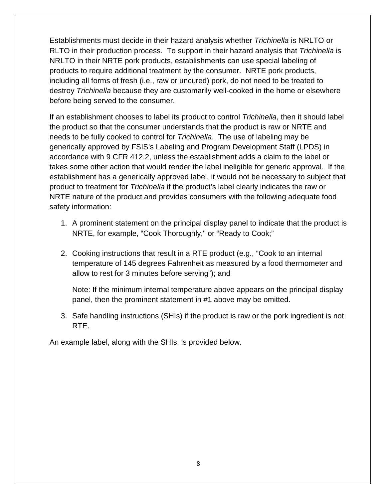Establishments must decide in their hazard analysis whether *Trichinella* is NRLTO or RLTO in their production process. To support in their hazard analysis that *Trichinella* is products to require additional treatment by the consumer. NRTE pork products, including all forms of fresh (i.e., raw or uncured) pork, do not need to be treated to NRLTO in their NRTE pork products, establishments can use special labeling of destroy *Trichinella* because they are customarily well-cooked in the home or elsewhere before being served to the consumer.

 If an establishment chooses to label its product to control *Trichinella*, then it should label the product so that the consumer understands that the product is raw or NRTE and needs to be fully cooked to control for *Trichinella*. The use of labeling may be accordance with 9 CFR 412.2, unless the establishment adds a claim to the label or generically approved by FSIS's Labeling and Program Development Staff (LPDS) in takes some other action that would render the label ineligible for generic approval. If the establishment has a generically approved label, it would not be necessary to subject that product to treatment for *Trichinella* if the product's label clearly indicates the raw or NRTE nature of the product and provides consumers with the following adequate food safety information:

- NRTE, for example, "Cook Thoroughly," or "Ready to Cook;" 1. A prominent statement on the principal display panel to indicate that the product is
- allow to rest for 3 minutes before serving"); and 2. Cooking instructions that result in a RTE product (e.g., "Cook to an internal temperature of 145 degrees Fahrenheit as measured by a food thermometer and

Note: If the minimum internal temperature above appears on the principal display panel, then the prominent statement in #1 above may be omitted.

3. Safe handling instructions (SHIs) if the product is raw or the pork ingredient is not RTE.

An example label, along with the SHIs, is provided below.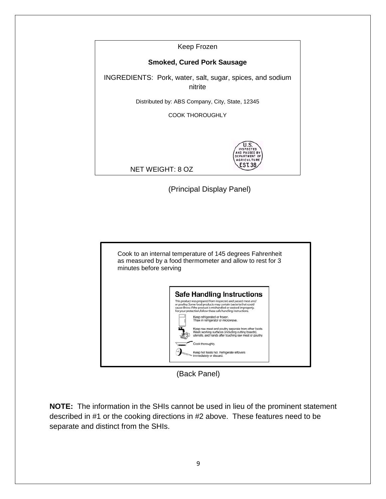Keep Frozen

#### **Smoked, Cured Pork Sausage**

INGREDIENTS: Pork, water, salt, sugar, spices, and sodium nitrite

Distributed by: ABS Company, City, State, 12345

COOK THOROUGHLY



NET WEIGHT: 8 OZ

(Principal Display Panel)



(Back Panel)

 **NOTE:** The information in the SHIs cannot be used in lieu of the prominent statement described in #1 or the cooking directions in #2 above. These features need to be separate and distinct from the SHIs.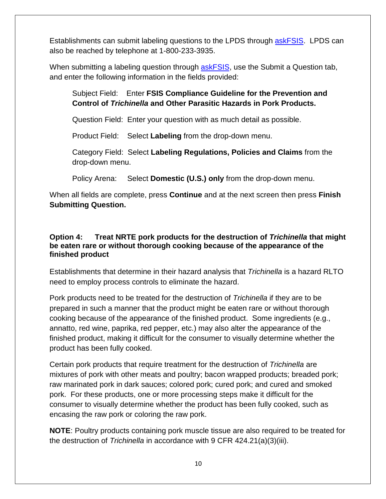Establishments can submit labeling questions to the LPDS through <u>askFSIS</u>. LPDS can also be reached by telephone at 1-800-233-3935.

When submitting a labeling question through <u>askFSIS,</u> use the Submit a Question tab, and enter the following information in the fields provided:

 Subject Field: Enter **FSIS Compliance Guideline for the Prevention and Control of** *Trichinella* **and Other Parasitic Hazards in Pork Products.** 

Question Field: Enter your question with as much detail as possible.

Product Field: Select **Labeling** from the drop-down menu.

Category Field: Select **Labeling Regulations, Policies and Claims** from the drop-down menu.

Policy Arena: Select **Domestic (U.S.) only** from the drop-down menu.

 When all fields are complete, press **Continue** and at the next screen then press **Finish Submitting Question.** 

#### <span id="page-14-0"></span>**Option 4: Treat NRTE pork products for the destruction of** *Trichinella* **that might be eaten rare or without thorough cooking because of the appearance of the finished product**

Establishments that determine in their hazard analysis that *Trichinella* is a hazard RLTO need to employ process controls to eliminate the hazard.

 prepared in such a manner that the product might be eaten rare or without thorough cooking because of the appearance of the finished product. Some ingredients (e.g., finished product, making it difficult for the consumer to visually determine whether the Pork products need to be treated for the destruction of *Trichinella* if they are to be annatto, red wine, paprika, red pepper, etc.) may also alter the appearance of the product has been fully cooked.

 Certain pork products that require treatment for the destruction of *Trichinella* are pork. For these products, one or more processing steps make it difficult for the consumer to visually determine whether the product has been fully cooked, such as mixtures of pork with other meats and poultry; bacon wrapped products; breaded pork; raw marinated pork in dark sauces; colored pork; cured pork; and cured and smoked encasing the raw pork or coloring the raw pork.

 **NOTE**: Poultry products containing pork muscle tissue are also required to be treated for the destruction of *Trichinella* in accordance with 9 CFR 424.21(a)(3)(iii).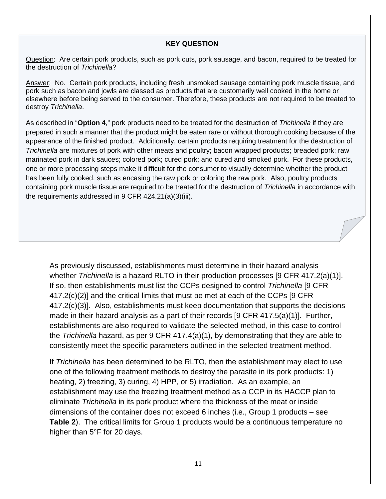#### **KEY QUESTION**

Question: Are certain pork products, such as pork cuts, pork sausage, and bacon, required to be treated for the destruction of Trichinella?

the destruction of *Trichinella*?<br><u>Answer</u>: No. Certain pork products, including fresh unsmoked sausage containing pork muscle tissue, and pork such as bacon and jowls are classed as products that are customarily well cooked in the home or destroy Trichinella. elsewhere before being served to the consumer. Therefore, these products are not required to be treated to

destroy *Trichinella*.<br>As described in "**Option 4**," pork products need to be treated for the destruction of *Trichinella* if they are prepared in such a manner that the product might be eaten rare or without thorough cooking because of the appearance of the finished product. Additionally, certain products requiring treatment for the destruction of *Trichinella* are mixtures of pork with other meats and poultry; bacon wrapped products; breaded pork; raw marinated pork in dark sauces; colored pork; cured pork; and cured and smoked pork. For these products, one or more processing steps make it difficult for the consumer to visually determine whether the product has been fully cooked, such as encasing the raw pork or coloring the raw pork. Also, poultry products containing pork muscle tissue are required to be treated for the destruction of *Trichinella* in accordance with the requirements addressed in 9 CFR 424.21(a)(3)(iii).

As previously discussed, establishments must determine in their hazard analysis whether *Trichinella* is a hazard RLTO in their production processes [9 CFR 417.2(a)(1)]. If so, then establishments must list the CCPs designed to control *Trichinella* [9 CFR 417.2(c)(2)] and the critical limits that must be met at each of the CCPs [9 CFR 417.2(c)(3)]. Also, establishments must keep documentation that supports the decisions made in their hazard analysis as a part of their records [9 CFR 417.5(a)(1)]. Further, establishments are also required to validate the selected method, in this case to control the *Trichinella* hazard, as per 9 CFR 417.4(a)(1), by demonstrating that they are able to consistently meet the specific parameters outlined in the selected treatment method.

 eliminate *Trichinella* in its pork product where the thickness of the meat or inside dimensions of the container does not exceed 6 inches (i.e., Group 1 products – see **Table 2**). The critical limits for Group 1 products would be a continuous temperature no If *Trichinella* has been determined to be RLTO, then the establishment may elect to use one of the following treatment methods to destroy the parasite in its pork products: 1) heating, 2) freezing, 3) curing, 4) HPP, or 5) irradiation. As an example, an establishment may use the freezing treatment method as a CCP in its HACCP plan to higher than 5°F for 20 days.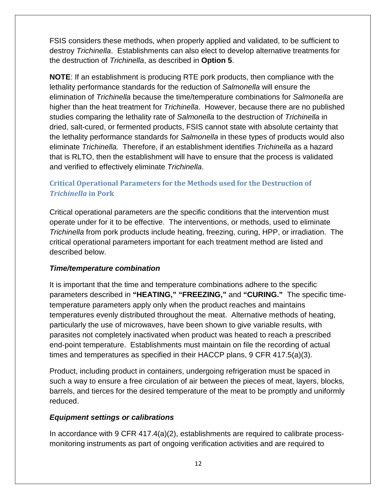destroy *Trichinella*. Establishments can also elect to develop alternative treatments for FSIS considers these methods, when properly applied and validated, to be sufficient to the destruction of *Trichinella*, as described in **Option 5**.

 dried, salt-cured, or fermented products, FSIS cannot state with absolute certainty that the lethality performance standards for *Salmonella* in these types of products would also eliminate *Trichinella.* Therefore, if an establishment identifies *Trichinella* as a hazard **NOTE**: If an establishment is producing RTE pork products, then compliance with the lethality performance standards for the reduction of *Salmonella* will ensure the elimination of *Trichinella* because the time/temperature combinations for *Salmonella* are higher than the heat treatment for *Trichinella*. However, because there are no published studies comparing the lethality rate of *Salmonella* to the destruction of *Trichinella* in that is RLTO, then the establishment will have to ensure that the process is validated and verified to effectively eliminate *Trichinella*.

#### <span id="page-16-0"></span> *Trichinella* **in Pork Critical Operational Parameters for the Methods used for the Destruction of**

 *Trichinella* from pork products include heating, freezing, curing, HPP, or irradiation. The described below. Critical operational parameters are the specific conditions that the intervention must operate under for it to be effective. The interventions, or methods, used to eliminate critical operational parameters important for each treatment method are listed and

#### *Time/temperature combination*

 It is important that the time and temperature combinations adhere to the specific parameters described in **"HEATING," "FREEZING,"** and **"CURING."** The specific time- end-point temperature. Establishments must maintain on file the recording of actual temperature parameters apply only when the product reaches and maintains temperatures evenly distributed throughout the meat. Alternative methods of heating, particularly the use of microwaves, have been shown to give variable results, with parasites not completely inactivated when product was heated to reach a prescribed times and temperatures as specified in their HACCP plans, 9 CFR 417.5(a)(3).

 Product, including product in containers, undergoing refrigeration must be spaced in such a way to ensure a free circulation of air between the pieces of meat, layers, blocks, barrels, and tierces for the desired temperature of the meat to be promptly and uniformly reduced.

#### *Equipment settings or calibrations*

In accordance with 9 CFR 417.4(a)(2), establishments are required to calibrate processmonitoring instruments as part of ongoing verification activities and are required to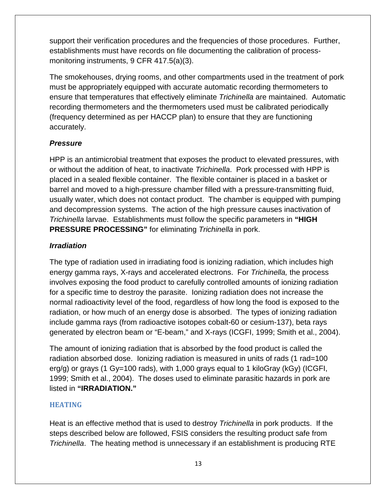support their verification procedures and the frequencies of those procedures. Further, establishments must have records on file documenting the calibration of processmonitoring instruments, 9 CFR 417.5(a)(3).

 ensure that temperatures that effectively eliminate *Trichinella* are maintained. Automatic recording thermometers and the thermometers used must be calibrated periodically The smokehouses, drying rooms, and other compartments used in the treatment of pork must be appropriately equipped with accurate automatic recording thermometers to (frequency determined as per HACCP plan) to ensure that they are functioning accurately.

#### *Pressure*

 usually water, which does not contact product. The chamber is equipped with pumping **PRESSURE PROCESSING"** for eliminating *Trichinella* in pork. HPP is an antimicrobial treatment that exposes the product to elevated pressures, with or without the addition of heat, to inactivate *Trichinella*. Pork processed with HPP is placed in a sealed flexible container. The flexible container is placed in a basket or barrel and moved to a high-pressure chamber filled with a pressure-transmitting fluid, and decompression systems. The action of the high pressure causes inactivation of *Trichinella* larvae. Establishments must follow the specific parameters in **"HIGH** 

#### *Irradiation*

 The type of radiation used in irradiating food is ionizing radiation, which includes high energy gamma rays, X-rays and accelerated electrons. For *Trichinella,* the process involves exposing the food product to carefully controlled amounts of ionizing radiation for a specific time to destroy the parasite. Ionizing radiation does not increase the normal radioactivity level of the food, regardless of how long the food is exposed to the radiation, or how much of an energy dose is absorbed. The types of ionizing radiation include gamma rays (from radioactive isotopes cobalt-60 or cesium-137), beta rays generated by electron beam or "E-beam," and X-rays (ICGFI, 1999; Smith et al., 2004).

 1999; Smith et al., 2004). The doses used to eliminate parasitic hazards in pork are The amount of ionizing radiation that is absorbed by the food product is called the radiation absorbed dose. Ionizing radiation is measured in units of rads (1 rad=100 erg/g) or grays (1 Gy=100 rads), with 1,000 grays equal to 1 kiloGray (kGy) (ICGFI, listed in **"IRRADIATION."** 

#### <span id="page-17-0"></span> **HEATING**

 Heat is an effective method that is used to destroy *Trichinella* in pork products. If the *Trichinella*. The heating method is unnecessary if an establishment is producing RTE steps described below are followed, FSIS considers the resulting product safe from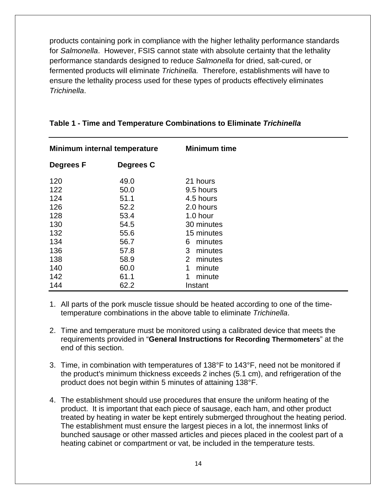products containing pork in compliance with the higher lethality performance standards for *Salmonella*. However, FSIS cannot state with absolute certainty that the lethality performance standards designed to reduce *Salmonella* for dried, salt-cured, or fermented products will eliminate *Trichinella.* Therefore, establishments will have to ensure the lethality process used for these types of products effectively eliminates *Trichinella*.

| Minimum internal temperature |                      | <b>Minimum time</b>                         |
|------------------------------|----------------------|---------------------------------------------|
| <b>Degrees F</b>             | Degrees C            |                                             |
| 120<br>122                   | 49.0<br>50.0         | 21 hours<br>9.5 hours                       |
| 124<br>126                   | 51.1<br>52.2         | 4.5 hours<br>2.0 hours                      |
| 128<br>130                   | 53.4<br>54.5         | 1.0 hour<br>30 minutes                      |
| 132<br>134                   | 55.6<br>56.7         | 15 minutes<br>6<br>minutes                  |
| 136<br>138<br>140            | 57.8<br>58.9<br>60.0 | 3<br>minutes<br>2<br>minutes<br>minute<br>1 |
| 142<br>144                   | 61.1<br>62.2         | 1<br>minute<br>Instant                      |

#### **Table 1 - Time and Temperature Combinations to Eliminate** *Trichinella*

- 1. All parts of the pork muscle tissue should be heated according to one of the timetemperature combinations in the above table to eliminate *Trichinella*.
- end of this section. 2. Time and temperature must be monitored using a calibrated device that meets the requirements provided in "**General Instructions for Recording Thermometers**" at the
- product does not begin within 5 minutes of attaining 138°F. 3. Time, in combination with temperatures of 138°F to 143°F, need not be monitored if the product's minimum thickness exceeds 2 inches (5.1 cm), and refrigeration of the
- bunched sausage or other massed articles and pieces placed in the coolest part of a heating cabinet or compartment or vat, be included in the temperature tests. 4. The establishment should use procedures that ensure the uniform heating of the product. It is important that each piece of sausage, each ham, and other product treated by heating in water be kept entirely submerged throughout the heating period. The establishment must ensure the largest pieces in a lot, the innermost links of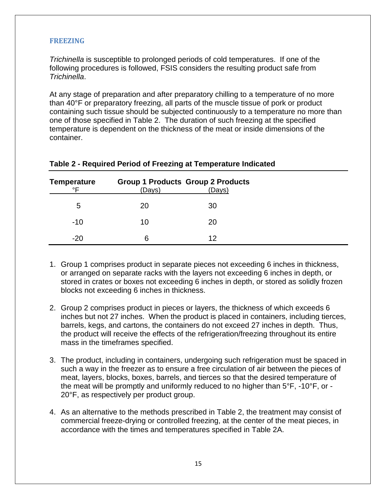#### <span id="page-19-0"></span>**FREEZING**

 *Trichinella*. *Trichinella* is susceptible to prolonged periods of cold temperatures. If one of the following procedures is followed, FSIS considers the resulting product safe from

 one of those specified in Table 2. The duration of such freezing at the specified temperature is dependent on the thickness of the meat or inside dimensions of the At any stage of preparation and after preparatory chilling to a temperature of no more than 40°F or preparatory freezing, all parts of the muscle tissue of pork or product containing such tissue should be subjected continuously to a temperature no more than container.

| <b>Temperature</b> |        | <b>Group 1 Products Group 2 Products</b> |
|--------------------|--------|------------------------------------------|
| ∘⊏                 | (Days) | (Days)                                   |
| 5                  | 20     | 30                                       |
| $-10$              | 10     | 20                                       |
| $-20$              | 6      | 12                                       |

#### **Table 2 - Required Period of Freezing at Temperature Indicated**

- 1. Group 1 comprises product in separate pieces not exceeding 6 inches in thickness, or arranged on separate racks with the layers not exceeding 6 inches in depth, or stored in crates or boxes not exceeding 6 inches in depth, or stored as solidly frozen blocks not exceeding 6 inches in thickness.
- 2. Group 2 comprises product in pieces or layers, the thickness of which exceeds 6 mass in the timeframes specified. inches but not 27 inches. When the product is placed in containers, including tierces, barrels, kegs, and cartons, the containers do not exceed 27 inches in depth. Thus, the product will receive the effects of the refrigeration/freezing throughout its entire
- such a way in the freezer as to ensure a free circulation of air between the pieces of meat, layers, blocks, boxes, barrels, and tierces so that the desired temperature of 3. The product, including in containers, undergoing such refrigeration must be spaced in the meat will be promptly and uniformly reduced to no higher than 5°F, -10°F, or - 20°F, as respectively per product group.
- 4. As an alternative to the methods prescribed in Table 2, the treatment may consist of commercial freeze-drying or controlled freezing, at the center of the meat pieces, in accordance with the times and temperatures specified in Table 2A.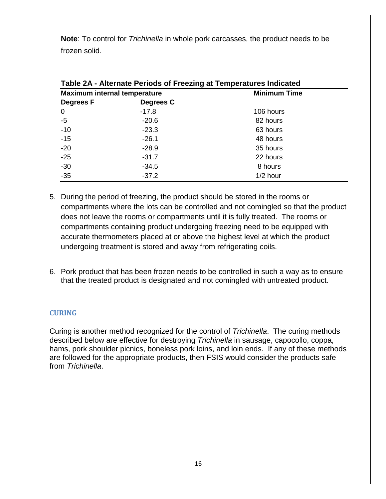**Note**: To control for *Trichinella* in whole pork carcasses, the product needs to be frozen solid.

| Table ZA - Alternate Periods of Freezing at Temperatures Indicated |           |            |  |  |
|--------------------------------------------------------------------|-----------|------------|--|--|
| <b>Minimum Time</b><br><b>Maximum internal temperature</b>         |           |            |  |  |
| <b>Degrees F</b>                                                   | Degrees C |            |  |  |
| $\overline{0}$                                                     | $-17.8$   | 106 hours  |  |  |
| $-5$                                                               | $-20.6$   | 82 hours   |  |  |
| $-10$                                                              | $-23.3$   | 63 hours   |  |  |
| $-15$                                                              | $-26.1$   | 48 hours   |  |  |
| $-20$                                                              | $-28.9$   | 35 hours   |  |  |
| $-25$                                                              | $-31.7$   | 22 hours   |  |  |
| $-30$                                                              | -34.5     | 8 hours    |  |  |
| $-35$                                                              | $-37.2$   | $1/2$ hour |  |  |

**Table 2A - Alternate Periods of Freezing at Temperatures Indicated** 

- 5. During the period of freezing, the product should be stored in the rooms or compartments where the lots can be controlled and not comingled so that the product does not leave the rooms or compartments until it is fully treated. The rooms or compartments containing product undergoing freezing need to be equipped with accurate thermometers placed at or above the highest level at which the product
- 6. Pork product that has been frozen needs to be controlled in such a way as to ensure that the treated product is designated and not comingled with untreated product.

undergoing treatment is stored and away from refrigerating coils.

#### <span id="page-20-0"></span>**CURING**

 Curing is another method recognized for the control of *Trichinella*. The curing methods hams, pork shoulder picnics, boneless pork loins, and loin ends. If any of these methods are followed for the appropriate products, then FSIS would consider the products safe described below are effective for destroying *Trichinella* in sausage, capocollo, coppa, from *Trichinella*.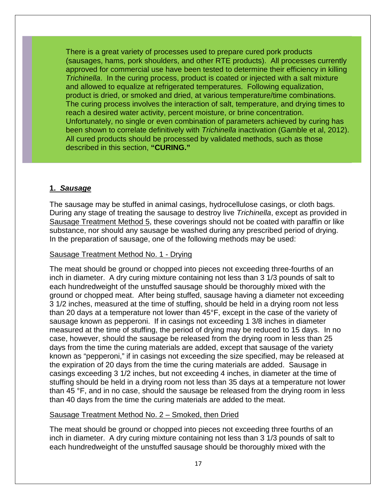There is a great variety of processes used to prepare cured pork products (sausages, hams, pork shoulders, and other RTE products). All processes currently *Trichinella*. In the curing process, product is coated or injected with a salt mixture product is dried, or smoked and dried, at various temperature/time combinations. been shown to correlate definitively with *Trichinella* inactivation (Gamble et al, 2012). approved for commercial use have been tested to determine their efficiency in killing and allowed to equalize at refrigerated temperatures. Following equalization, The curing process involves the interaction of salt, temperature, and drying times to reach a desired water activity, percent moisture, or brine concentration. Unfortunately, no single or even combination of parameters achieved by curing has All cured products should be processed by validated methods, such as those described in this section, **"CURING."** 

#### **1.** *Sausage*

 In the preparation of sausage, one of the following methods may be used: The sausage may be stuffed in animal casings, hydrocellulose casings, or cloth bags. During any stage of treating the sausage to destroy live *Trichinella*, except as provided in Sausage Treatment Method 5, these coverings should not be coated with paraffin or like substance, nor should any sausage be washed during any prescribed period of drying.

#### Sausage Treatment Method No. 1 - Drying

 inch in diameter. A dry curing mixture containing not less than 3 1/3 pounds of salt to than 20 days at a temperature not lower than 45°F, except in the case of the variety of sausage known as pepperoni. If in casings not exceeding 1 3/8 inches in diameter casings exceeding 3 1/2 inches, but not exceeding 4 inches, in diameter at the time of The meat should be ground or chopped into pieces not exceeding three-fourths of an each hundredweight of the unstuffed sausage should be thoroughly mixed with the ground or chopped meat. After being stuffed, sausage having a diameter not exceeding 3 1/2 inches, measured at the time of stuffing, should be held in a drying room not less measured at the time of stuffing, the period of drying may be reduced to 15 days. In no case, however, should the sausage be released from the drying room in less than 25 days from the time the curing materials are added, except that sausage of the variety known as "pepperoni," if in casings not exceeding the size specified, may be released at the expiration of 20 days from the time the curing materials are added. Sausage in stuffing should be held in a drying room not less than 35 days at a temperature not lower than 45 °F, and in no case, should the sausage be released from the drying room in less than 40 days from the time the curing materials are added to the meat.

#### Sausage Treatment Method No. 2 – Smoked, then Dried

 inch in diameter. A dry curing mixture containing not less than 3 1/3 pounds of salt to The meat should be ground or chopped into pieces not exceeding three fourths of an each hundredweight of the unstuffed sausage should be thoroughly mixed with the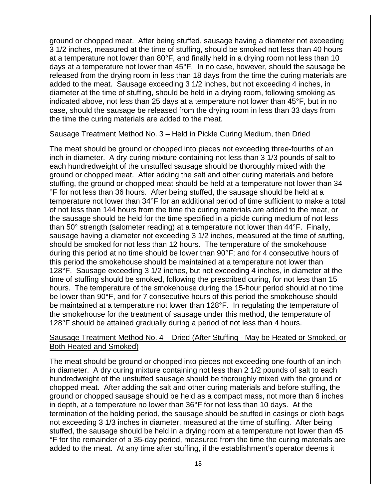3 1/2 inches, measured at the time of stuffing, should be smoked not less than 40 hours case, should the sausage be released from the drying room in less than 33 days from ground or chopped meat. After being stuffed, sausage having a diameter not exceeding at a temperature not lower than 80°F, and finally held in a drying room not less than 10 days at a temperature not lower than 45°F. In no case, however, should the sausage be released from the drying room in less than 18 days from the time the curing materials are added to the meat. Sausage exceeding 3 1/2 inches, but not exceeding 4 inches, in diameter at the time of stuffing, should be held in a drying room, following smoking as indicated above, not less than 25 days at a temperature not lower than 45°F, but in no the time the curing materials are added to the meat.

#### Sausage Treatment Method No. 3 – Held in Pickle Curing Medium, then Dried

 inch in diameter. A dry-curing mixture containing not less than 3 1/3 pounds of salt to of not less than 144 hours from the time the curing materials are added to the meat, or the sausage should be held for the time specified in a pickle curing medium of not less should be smoked for not less than 12 hours. The temperature of the smokehouse during this period at no time should be lower than 90°F; and for 4 consecutive hours of The meat should be ground or chopped into pieces not exceeding three-fourths of an each hundredweight of the unstuffed sausage should be thoroughly mixed with the ground or chopped meat. After adding the salt and other curing materials and before stuffing, the ground or chopped meat should be held at a temperature not lower than 34 °F for not less than 36 hours. After being stuffed, the sausage should be held at a temperature not lower than 34°F for an additional period of time sufficient to make a total than 50° strength (salometer reading) at a temperature not lower than 44°F. Finally, sausage having a diameter not exceeding 3 1/2 inches, measured at the time of stuffing, this period the smokehouse should be maintained at a temperature not lower than 128°F. Sausage exceeding 3 1/2 inches, but not exceeding 4 inches, in diameter at the time of stuffing should be smoked, following the prescribed curing, for not less than 15 hours. The temperature of the smokehouse during the 15-hour period should at no time be lower than 90°F, and for 7 consecutive hours of this period the smokehouse should be maintained at a temperature not lower than 128°F. In regulating the temperature of the smokehouse for the treatment of sausage under this method, the temperature of 128°F should be attained gradually during a period of not less than 4 hours.

#### Sausage Treatment Method No. 4 – Dried (After Stuffing - May be Heated or Smoked, or Both Heated and Smoked)

 in diameter. A dry curing mixture containing not less than 2 1/2 pounds of salt to each chopped meat. After adding the salt and other curing materials and before stuffing, the ground or chopped sausage should be held as a compact mass, not more than 6 inches stuffed, the sausage should be held in a drying room at a temperature not lower than 45 added to the meat. At any time after stuffing, if the establishment's operator deems it The meat should be ground or chopped into pieces not exceeding one-fourth of an inch hundredweight of the unstuffed sausage should be thoroughly mixed with the ground or in depth, at a temperature no lower than 36°F for not less than 10 days. At the termination of the holding period, the sausage should be stuffed in casings or cloth bags not exceeding 3 1/3 inches in diameter, measured at the time of stuffing. After being °F for the remainder of a 35-day period, measured from the time the curing materials are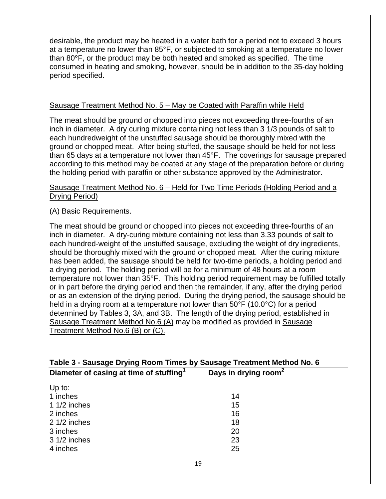desirable, the product may be heated in a water bath for a period not to exceed 3 hours at a temperature no lower than 85°F, or subjected to smoking at a temperature no lower than 80**°**F, or the product may be both heated and smoked as specified. The time consumed in heating and smoking, however, should be in addition to the 35-day holding period specified.

#### Sausage Treatment Method No. 5 – May be Coated with Paraffin while Held

 inch in diameter. A dry curing mixture containing not less than 3 1/3 pounds of salt to ground or chopped meat. After being stuffed, the sausage should be held for not less the holding period with paraffin or other substance approved by the Administrator. The meat should be ground or chopped into pieces not exceeding three-fourths of an each hundredweight of the unstuffed sausage should be thoroughly mixed with the than 65 days at a temperature not lower than 45°F. The coverings for sausage prepared according to this method may be coated at any stage of the preparation before or during

#### Sausage Treatment Method No. 6 – Held for Two Time Periods (Holding Period and a Drying Period)

(A) Basic Requirements.

 a drying period. The holding period will be for a minimum of 48 hours at a room held in a drying room at a temperature not lower than 50°F (10.0°C) for a period The meat should be ground or chopped into pieces not exceeding three-fourths of an inch in diameter. A dry-curing mixture containing not less than 3.33 pounds of salt to each hundred-weight of the unstuffed sausage, excluding the weight of dry ingredients, should be thoroughly mixed with the ground or chopped meat. After the curing mixture has been added, the sausage should be held for two-time periods, a holding period and temperature not lower than 35°F. This holding period requirement may be fulfilled totally or in part before the drying period and then the remainder, if any, after the drying period or as an extension of the drying period. During the drying period, the sausage should be determined by Tables 3, 3A, and 3B. The length of the drying period, established in Sausage Treatment Method No.6 (A) may be modified as provided in Sausage Treatment Method No.6 (B) or (C).

| Table 3 - Sausage Drying Room Times by Sausage Treatment Method No. 6 |                                  |  |  |
|-----------------------------------------------------------------------|----------------------------------|--|--|
| Diameter of casing at time of stuffing <sup>1</sup>                   | Days in drying room <sup>2</sup> |  |  |
| Up to:                                                                |                                  |  |  |
| 1 inches                                                              | 14                               |  |  |
| 1 $1/2$ inches                                                        | 15                               |  |  |
| 2 inches                                                              | 16                               |  |  |
| $21/2$ inches                                                         | 18                               |  |  |
| 3 inches                                                              | 20                               |  |  |
| 3 1/2 inches                                                          | 23                               |  |  |
| 4 inches                                                              | 25                               |  |  |
|                                                                       |                                  |  |  |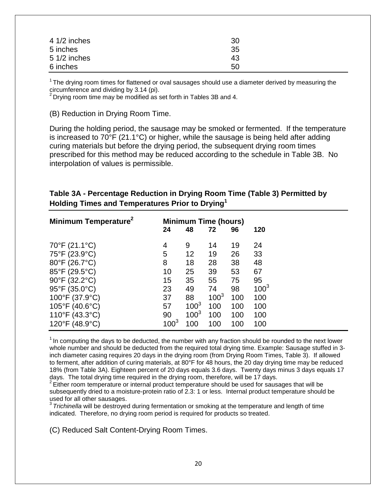| $41/2$ inches | 30 |
|---------------|----|
| 5 inches      | 35 |
| $51/2$ inches | 43 |
| 6 inches      | 50 |

 $1$ The drying room times for flattened or oval sausages should use a diameter derived by measuring the circumference and dividing by 3.14 (pi).<br>
<sup>2</sup> Drving room first that the state of the state of the state of the state of the state of the state of the state of the state of the state of the state of the state of the state

 $2$  Drying room time may be modified as set forth in Tables 3B and 4.

(B) Reduction in Drying Room Time.

 During the holding period, the sausage may be smoked or fermented. If the temperature curing materials but before the drying period, the subsequent drying room times interpolation of values is permissible. is increased to 70°F (21.1°C) or higher, while the sausage is being held after adding prescribed for this method may be reduced according to the schedule in Table 3B. No

| Table 3A - Percentage Reduction in Drying Room Time (Table 3) Permitted by |
|----------------------------------------------------------------------------|
| Holding Times and Temperatures Prior to Drying <sup>1</sup>                |

| Minimum Temperature <sup>2</sup>   | <b>Minimum Time (hours)</b> |           |           |     |           |
|------------------------------------|-----------------------------|-----------|-----------|-----|-----------|
|                                    | 24                          | 48        | 72        | 96  | 120       |
| 70°F (21.1°C)                      | 4                           | 9         | 14        | 19  | 24        |
| 75°F (23.9°C)                      | 5                           | 12        | 19        | 26  | 33        |
| $80^{\circ}$ F (26.7 $^{\circ}$ C) | 8                           | 18        | 28        | 38  | 48        |
| 85°F (29.5°C)                      | 10                          | 25        | 39        | 53  | 67        |
| 90°F (32.2°C)                      | 15                          | 35        | 55        | 75  | 95        |
| 95°F (35.0°C)                      | 23                          | 49        | 74        | 98  | $100^{3}$ |
| 100°F (37.9°C)                     | 37                          | 88        | $100^{3}$ | 100 | 100       |
| $105^{\circ}F(40.6^{\circ}C)$      | 57                          | $100^{3}$ | 100       | 100 | 100       |
| 110°F (43.3°C)                     | 90                          | $100^{3}$ | 100       | 100 | 100       |
| 120°F (48.9°C)                     | $100^{3}$                   | 100       | 100       | 100 | 100       |

 $1$  In computing the days to be deducted, the number with any fraction should be rounded to the next lower whole number and should be deducted from the required total drying time. Example: Sausage stuffed in 3 inch diameter casing requires 20 days in the drying room (from Drying Room Times, Table 3). If allowed to ferment, after addition of curing materials, at 80°F for 48 hours, the 20 day drying time may be reduced 18% (from Table 3A). Eighteen percent of 20 days equals 3.6 days. Twenty days minus 3 days equals 17 days. The total drying time required in the drying room, therefore, will be 17 days.<br><sup>2</sup> Either room temperature or internal product temperature should be used for sausages that will be

subsequently dried to a moisture-protein ratio of 2.3: 1 or less. Internal product temperature should be used for all other sausages.

 indicated. Therefore, no drying room period is required for products so treated. <sup>3</sup>*Trichinella* will be destroyed during fermentation or smoking at the temperature and length of time

(C) Reduced Salt Content-Drying Room Times.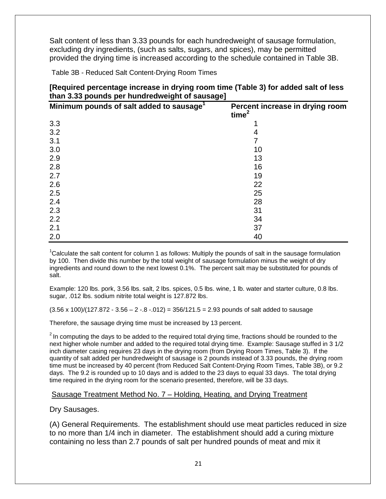Salt content of less than 3.33 pounds for each hundredweight of sausage formulation, excluding dry ingredients, (such as salts, sugars, and spices), may be permitted provided the drying time is increased according to the schedule contained in Table 3B.

Table 3B - Reduced Salt Content-Drying Room Times

| [Required percentage increase in drying room time (Table 3) for added salt of less |
|------------------------------------------------------------------------------------|
| than 3.33 pounds per hundredweight of sausage]                                     |

| Minimum pounds of salt added to sausage <sup>1</sup> | Percent increase in drying room<br>time $2$ |
|------------------------------------------------------|---------------------------------------------|
| 3.3                                                  |                                             |
| 3.2                                                  | 4                                           |
| 3.1                                                  |                                             |
| 3.0                                                  | 10                                          |
| 2.9                                                  | 13                                          |
| 2.8                                                  | 16                                          |
| 2.7                                                  | 19                                          |
| 2.6                                                  | 22                                          |
| 2.5                                                  | 25                                          |
| 2.4                                                  | 28                                          |
| 2.3                                                  | 31                                          |
| 2.2                                                  | 34                                          |
| 2.1                                                  | 37                                          |
| 2.0                                                  | 40                                          |

 by 100. Then divide this number by the total weight of sausage formulation minus the weight of dry ingredients and round down to the next lowest 0.1%. The percent salt may be substituted for pounds of salt. <sup>1</sup>Calculate the salt content for column 1 as follows: Multiply the pounds of salt in the sausage formulation

salt.<br>Example: 120 lbs. pork, 3.56 lbs. salt, 2 lbs. spices, 0.5 lbs. wine, 1 lb. water and starter culture, 0.8 lbs. sugar, .012 lbs. sodium nitrite total weight is 127.872 lbs.

sugar, .012 lbs. sodium nitrite total weight is 127.872 lbs.<br>(3.56 x 100)/(127.872 - 3.56 – 2 -.8 -.012) = 356/121.5 = 2.93 pounds of salt added to sausage

Therefore, the sausage drying time must be increased by 13 percent.

 next higher whole number and added to the required total drying time. Example: Sausage stuffed in 3 1/2 days. The 9.2 is rounded up to 10 days and is added to the 23 days to equal 33 days. The total drying time required in the drying room for the scenario presented, therefore, will be 33 days.  $2$  In computing the days to be added to the required total drying time, fractions should be rounded to the inch diameter casing requires 23 days in the drying room (from Drying Room Times, Table 3). If the quantity of salt added per hundredweight of sausage is 2 pounds instead of 3.33 pounds, the drying room time must be increased by 40 percent (from Reduced Salt Content-Drying Room Times, Table 3B), or 9.2

#### Sausage Treatment Method No. 7 – Holding, Heating, and Drying Treatment

#### Dry Sausages.

 containing no less than 2.7 pounds of salt per hundred pounds of meat and mix it (A) General Requirements. The establishment should use meat particles reduced in size to no more than 1/4 inch in diameter. The establishment should add a curing mixture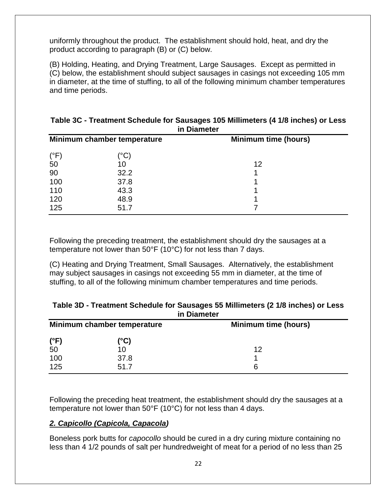uniformly throughout the product. The establishment should hold, heat, and dry the product according to paragraph (B) or (C) below.

 and time periods. (B) Holding, Heating, and Drying Treatment, Large Sausages. Except as permitted in (C) below, the establishment should subject sausages in casings not exceeding 105 mm in diameter, at the time of stuffing, to all of the following minimum chamber temperatures

|                             | in Diameter |                             |
|-----------------------------|-------------|-----------------------------|
| Minimum chamber temperature |             | <b>Minimum time (hours)</b> |
| $(^{\circ}F)$               | (°C)        |                             |
| 50                          | 10          | 12                          |
| 90                          | 32.2        |                             |
| 100                         | 37.8        |                             |
| 110                         | 43.3        |                             |
| 120                         | 48.9        |                             |
| 125                         | 51.7        |                             |

#### **Table 3C - Treatment Schedule for Sausages 105 Millimeters (4 1/8 inches) or Less in Diameter**

 temperature not lower than 50°F (10°C) for not less than 7 days. Following the preceding treatment, the establishment should dry the sausages at a

(C) Heating and Drying Treatment, Small Sausages. Alternatively, the establishment may subject sausages in casings not exceeding 55 mm in diameter, at the time of stuffing, to all of the following minimum chamber temperatures and time periods.

| Table 3D - Treatment Scriedule for Sausages 33 Minimeters (2 170 micries) or Less<br>in Diameter |      |                             |  |  |
|--------------------------------------------------------------------------------------------------|------|-----------------------------|--|--|
| Minimum chamber temperature                                                                      |      | <b>Minimum time (hours)</b> |  |  |
| $(^{\circ}F)$                                                                                    | (°C) |                             |  |  |
| 50                                                                                               | 10   | 12                          |  |  |
| 100                                                                                              | 37.8 |                             |  |  |
| 125                                                                                              | 51.7 | 6                           |  |  |

# **Table 3D - Treatment Schedule for Sausages 55 Millimeters (2 1/8 inches) or Less**

 temperature not lower than 50°F (10°C) for not less than 4 days. Following the preceding heat treatment, the establishment should dry the sausages at a

#### *2. Capicollo (Capicola, Capacola)*

 Boneless pork butts for *capocollo* should be cured in a dry curing mixture containing no less than 4 1/2 pounds of salt per hundredweight of meat for a period of no less than 25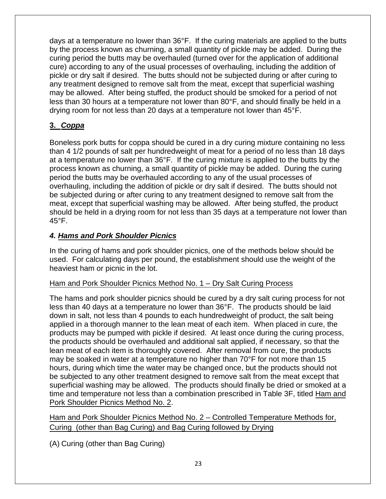may be allowed. After being stuffed, the product should be smoked for a period of not days at a temperature no lower than 36°F. If the curing materials are applied to the butts by the process known as churning, a small quantity of pickle may be added. During the curing period the butts may be overhauled (turned over for the application of additional cure) according to any of the usual processes of overhauling, including the addition of pickle or dry salt if desired. The butts should not be subjected during or after curing to any treatment designed to remove salt from the meat, except that superficial washing less than 30 hours at a temperature not lower than 80°F, and should finally be held in a drying room for not less than 20 days at a temperature not lower than 45°F.

#### **3.** *Coppa*

 than 4 1/2 pounds of salt per hundredweight of meat for a period of no less than 18 days period the butts may be overhauled according to any of the usual processes of overhauling, including the addition of pickle or dry salt if desired. The butts should not should be held in a drying room for not less than 35 days at a temperature not lower than Boneless pork butts for coppa should be cured in a dry curing mixture containing no less at a temperature no lower than 36°F. If the curing mixture is applied to the butts by the process known as churning, a small quantity of pickle may be added. During the curing be subjected during or after curing to any treatment designed to remove salt from the meat, except that superficial washing may be allowed. After being stuffed, the product  $45^{\circ}$ F.

#### *4. Hams and Pork Shoulder Picnics*

 used. For calculating days per pound, the establishment should use the weight of the heaviest ham or picnic in the lot. In the curing of hams and pork shoulder picnics, one of the methods below should be

#### Ham and Pork Shoulder Picnics Method No. 1 – Dry Salt Curing Process

 products may be pumped with pickle if desired. At least once during the curing process, may be soaked in water at a temperature no higher than 70°F for not more than 15 be subjected to any other treatment designed to remove salt from the meat except that time and temperature not less than a combination prescribed in Table 3F, titled <u>Ham and</u> The hams and pork shoulder picnics should be cured by a dry salt curing process for not less than 40 days at a temperature no lower than 36°F. The products should be laid down in salt, not less than 4 pounds to each hundredweight of product, the salt being applied in a thorough manner to the lean meat of each item. When placed in cure, the the products should be overhauled and additional salt applied, if necessary, so that the lean meat of each item is thoroughly covered. After removal from cure, the products hours, during which time the water may be changed once, but the products should not superficial washing may be allowed. The products should finally be dried or smoked at a Pork Shoulder Picnics Method No. 2.

 Ham and Pork Shoulder Picnics Method No. 2 – Controlled Temperature Methods for, Curing (other than Bag Curing) and Bag Curing followed by Drying

(A) Curing (other than Bag Curing)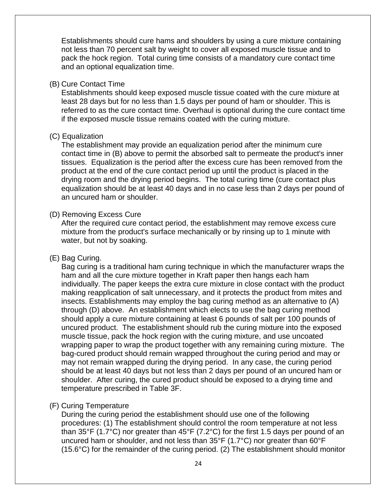Establishments should cure hams and shoulders by using a cure mixture containing not less than 70 percent salt by weight to cover all exposed muscle tissue and to pack the hock region. Total curing time consists of a mandatory cure contact time and an optional equalization time.

#### (B) Cure Contact Time

 referred to as the cure contact time. Overhaul is optional during the cure contact time Establishments should keep exposed muscle tissue coated with the cure mixture at least 28 days but for no less than 1.5 days per pound of ham or shoulder. This is if the exposed muscle tissue remains coated with the curing mixture.

#### (C) Equalization

 The establishment may provide an equalization period after the minimum cure tissues. Equalization is the period after the excess cure has been removed from the product at the end of the cure contact period up until the product is placed in the contact time in (B) above to permit the absorbed salt to permeate the product's inner drying room and the drying period begins. The total curing time (cure contact plus equalization should be at least 40 days and in no case less than 2 days per pound of an uncured ham or shoulder.

#### (D) Removing Excess Cure

After the required cure contact period, the establishment may remove excess cure mixture from the product's surface mechanically or by rinsing up to 1 minute with water, but not by soaking.

#### (E) Bag Curing.

 ham and all the cure mixture together in Kraft paper then hangs each ham making reapplication of salt unnecessary, and it protects the product from mites and wrapping paper to wrap the product together with any remaining curing mixture. The should be at least 40 days but not less than 2 days per pound of an uncured ham or Bag curing is a traditional ham curing technique in which the manufacturer wraps the individually. The paper keeps the extra cure mixture in close contact with the product insects. Establishments may employ the bag curing method as an alternative to (A) through (D) above. An establishment which elects to use the bag curing method should apply a cure mixture containing at least 6 pounds of salt per 100 pounds of uncured product. The establishment should rub the curing mixture into the exposed muscle tissue, pack the hock region with the curing mixture, and use uncoated bag-cured product should remain wrapped throughout the curing period and may or may not remain wrapped during the drying period. In any case, the curing period shoulder. After curing, the cured product should be exposed to a drying time and temperature prescribed in Table 3F.

#### (F) Curing Temperature

 procedures: (1) The establishment should control the room temperature at not less During the curing period the establishment should use one of the following than 35°F (1.7°C) nor greater than 45°F (7.2°C) for the first 1.5 days per pound of an uncured ham or shoulder, and not less than 35°F (1.7°C) nor greater than 60°F (15.6°C) for the remainder of the curing period. (2) The establishment should monitor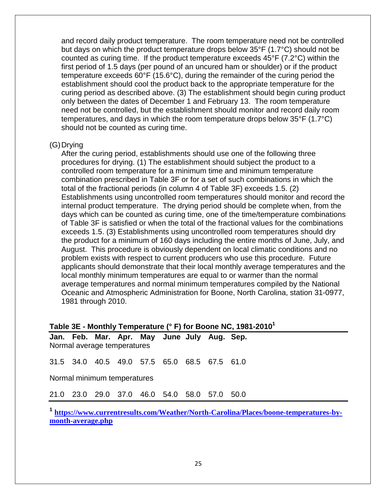temperature exceeds 60°F (15.6°C), during the remainder of the curing period the curing period as described above. (3) The establishment should begin curing product and record daily product temperature. The room temperature need not be controlled but days on which the product temperature drops below 35°F (1.7°C) should not be counted as curing time. If the product temperature exceeds 45°F (7.2°C) within the first period of 1.5 days (per pound of an uncured ham or shoulder) or if the product establishment should cool the product back to the appropriate temperature for the only between the dates of December 1 and February 13. The room temperature need not be controlled, but the establishment should monitor and record daily room temperatures, and days in which the room temperature drops below 35°F (1.7°C) should not be counted as curing time.

#### (G)Drying

 combination prescribed in Table 3F or for a set of such combinations in which the total of the fractional periods (in column 4 of Table 3F) exceeds 1.5. (2) days which can be counted as curing time, one of the time/temperature combinations the product for a minimum of 160 days including the entire months of June, July, and Oceanic and Atmospheric Administration for Boone, North Carolina, station 31-0977, After the curing period, establishments should use one of the following three procedures for drying. (1) The establishment should subject the product to a controlled room temperature for a minimum time and minimum temperature Establishments using uncontrolled room temperatures should monitor and record the internal product temperature. The drying period should be complete when, from the of Table 3F is satisfied or when the total of the fractional values for the combinations exceeds 1.5. (3) Establishments using uncontrolled room temperatures should dry August. This procedure is obviously dependent on local climatic conditions and no problem exists with respect to current producers who use this procedure. Future applicants should demonstrate that their local monthly average temperatures and the local monthly minimum temperatures are equal to or warmer than the normal average temperatures and normal minimum temperatures compiled by the National 1981 through 2010.

#### **Table 3E - Monthly Temperature (° F) for Boone NC, 1981-20101**

 **Jan. Feb. Mar. Apr. May June July Aug. Sep.**  Normal average temperatures

Normal average temperatures<br>31.5 34.0 40.5 49.0 57.5 65.0 68.5 67.5 61.0

Normal minimum temperatures

Normal minimum temperatures<br>21.0 23.0 29.0 37.0 46.0 54.0 58.0 57.0 50.0

<sup>1</sup> [https://www.currentresults.com/Weather/North-Carolina/Places/boone-temperatures-by](https://www.currentresults.com/Weather/North-Carolina/Places/boone-temperatures-by-month-average.php)**[month-average.php](https://www.currentresults.com/Weather/North-Carolina/Places/boone-temperatures-by-month-average.php)**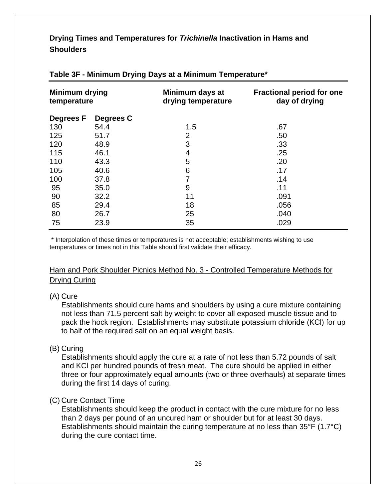#### **Drying Times and Temperatures for** *Trichinella* **Inactivation in Hams and Shoulders**

| <b>Minimum drying</b><br>temperature |           | Minimum days at<br>drying temperature | <b>Fractional period for one</b><br>day of drying |
|--------------------------------------|-----------|---------------------------------------|---------------------------------------------------|
| <b>Degrees F</b>                     | Degrees C |                                       |                                                   |
| 130                                  | 54.4      | 1.5                                   | .67                                               |
| 125                                  | 51.7      | $\overline{2}$                        | .50                                               |
| 120                                  | 48.9      | 3                                     | .33                                               |
| 115                                  | 46.1      | 4                                     | .25                                               |
| 110                                  | 43.3      | 5                                     | .20                                               |
| 105                                  | 40.6      | 6                                     | .17                                               |
| 100                                  | 37.8      | 7                                     | .14                                               |
| 95                                   | 35.0      | 9                                     | .11                                               |
| 90                                   | 32.2      | 11                                    | .091                                              |
| 85                                   | 29.4      | 18                                    | .056                                              |
| 80                                   | 26.7      | 25                                    | .040                                              |
| 75                                   | 23.9      | 35                                    | .029                                              |

#### **Table 3F - Minimum Drying Days at a Minimum Temperature\***

\* Interpolation of these times or temperatures is not acceptable; establishments wishing to use temperatures or times not in this Table should first validate their efficacy.

 Ham and Pork Shoulder Picnics Method No. 3 - Controlled Temperature Methods for <u>Drying Curing</u><br>(A) Cure

#### (A) Cure

Establishments should cure hams and shoulders by using a cure mixture containing not less than 71.5 percent salt by weight to cover all exposed muscle tissue and to pack the hock region. Establishments may substitute potassium chloride (KCl) for up to half of the required salt on an equal weight basis.

#### (B) Curing

Establishments should apply the cure at a rate of not less than 5.72 pounds of salt and KCl per hundred pounds of fresh meat. The cure should be applied in either three or four approximately equal amounts (two or three overhauls) at separate times during the first 14 days of curing.

#### (C) Cure Contact Time

 Establishments should keep the product in contact with the cure mixture for no less than 2 days per pound of an uncured ham or shoulder but for at least 30 days. Establishments should maintain the curing temperature at no less than 35°F (1.7°C) during the cure contact time.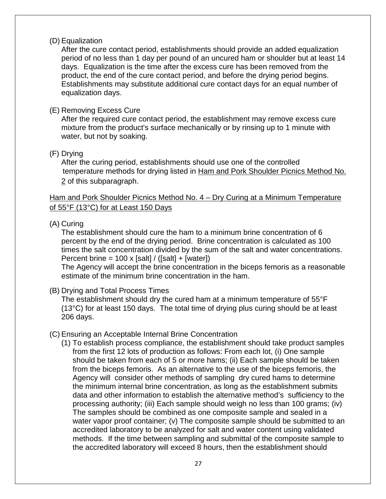#### (D) Equalization

 After the cure contact period, establishments should provide an added equalization period of no less than 1 day per pound of an uncured ham or shoulder but at least 14 Establishments may substitute additional cure contact days for an equal number of days. Equalization is the time after the excess cure has been removed from the product, the end of the cure contact period, and before the drying period begins. equalization days.

#### (E) Removing Excess Cure

After the required cure contact period, the establishment may remove excess cure mixture from the product's surface mechanically or by rinsing up to 1 minute with water, but not by soaking.

#### (F) Drying

temperature methods for drying listed in Ham and Pork Shoulder Picnics Method No. After the curing period, establishments should use one of the controlled 2 of this subparagraph.

#### Ham and Pork Shoulder Picnics Method No. 4 – Dry Curing at a Minimum Temperature of 55°F (13°C) for at Least 150 Days

#### (A) Curing

 percent by the end of the drying period. Brine concentration is calculated as 100 Percent brine = 100 x [salt] / ([salt] + [water]) The establishment should cure the ham to a minimum brine concentration of 6 times the salt concentration divided by the sum of the salt and water concentrations.

The Agency will accept the brine concentration in the biceps femoris as a reasonable estimate of the minimum brine concentration in the ham.

(B) Drying and Total Process Times

 The establishment should dry the cured ham at a minimum temperature of 55°F (13°C) for at least 150 days. The total time of drying plus curing should be at least 206 days.

#### (C) Ensuring an Acceptable Internal Brine Concentration

 from the first 12 lots of production as follows: From each lot, (i) One sample accredited laboratory to be analyzed for salt and water content using validated  methods. If the time between sampling and submittal of the composite sample to (1) To establish process compliance, the establishment should take product samples should be taken from each of 5 or more hams; (ii) Each sample should be taken from the biceps femoris. As an alternative to the use of the biceps femoris, the Agency will consider other methods of sampling dry cured hams to determine the minimum internal brine concentration, as long as the establishment submits data and other information to establish the alternative method's sufficiency to the processing authority; (iii) Each sample should weigh no less than 100 grams; (iv) The samples should be combined as one composite sample and sealed in a water vapor proof container; (v) The composite sample should be submitted to an the accredited laboratory will exceed 8 hours, then the establishment should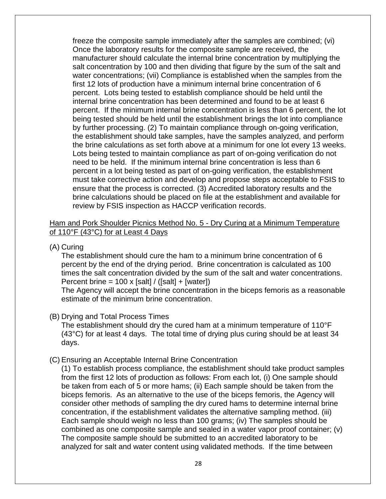internal brine concentration has been determined and found to be at least 6 the brine calculations as set forth above at a minimum for one lot every 13 weeks. need to be held. If the minimum internal brine concentration is less than 6 percent in a lot being tested as part of on-going verification, the establishment must take corrective action and develop and propose steps acceptable to FSIS to freeze the composite sample immediately after the samples are combined; (vi) Once the laboratory results for the composite sample are received, the manufacturer should calculate the internal brine concentration by multiplying the salt concentration by 100 and then dividing that figure by the sum of the salt and water concentrations; (vii) Compliance is established when the samples from the first 12 lots of production have a minimum internal brine concentration of 6 percent. Lots being tested to establish compliance should be held until the percent. If the minimum internal brine concentration is less than 6 percent, the lot being tested should be held until the establishment brings the lot into compliance by further processing. (2) To maintain compliance through on-going verification, the establishment should take samples, have the samples analyzed, and perform Lots being tested to maintain compliance as part of on-going verification do not ensure that the process is corrected. (3) Accredited laboratory results and the brine calculations should be placed on file at the establishment and available for review by FSIS inspection as HACCP verification records.

#### Ham and Pork Shoulder Picnics Method No. 5 - Dry Curing at a Minimum Temperature of 110°F (43°C) for at Least 4 Days

#### (A) Curing

 percent by the end of the drying period. Brine concentration is calculated as 100 The establishment should cure the ham to a minimum brine concentration of 6 times the salt concentration divided by the sum of the salt and water concentrations. Percent brine =  $100 \times$  [salt] / ([salt] + [water])

 estimate of the minimum brine concentration. The Agency will accept the brine concentration in the biceps femoris as a reasonable

#### (B) Drying and Total Process Times

 The establishment should dry the cured ham at a minimum temperature of 110°F (43°C) for at least 4 days. The total time of drying plus curing should be at least 34 days.

#### (C) Ensuring an Acceptable Internal Brine Concentration

 from the first 12 lots of production as follows: From each lot, (i) One sample should be taken from each of 5 or more hams; (ii) Each sample should be taken from the biceps femoris. As an alternative to the use of the biceps femoris, the Agency will (1) To establish process compliance, the establishment should take product samples consider other methods of sampling the dry cured hams to determine internal brine concentration, if the establishment validates the alternative sampling method. (iii) Each sample should weigh no less than 100 grams; (iv) The samples should be combined as one composite sample and sealed in a water vapor proof container; (v) The composite sample should be submitted to an accredited laboratory to be analyzed for salt and water content using validated methods. If the time between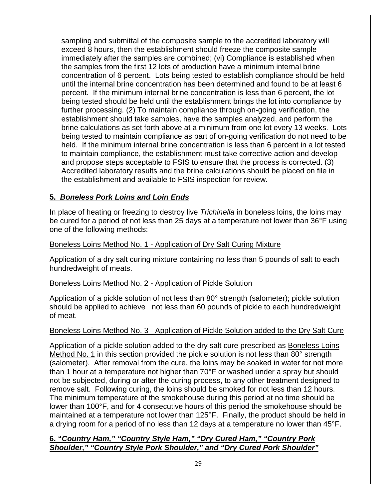brine calculations as set forth above at a minimum from one lot every 13 weeks. Lots being tested to maintain compliance as part of on-going verification do not need to be sampling and submittal of the composite sample to the accredited laboratory will exceed 8 hours, then the establishment should freeze the composite sample immediately after the samples are combined; (vi) Compliance is established when the samples from the first 12 lots of production have a minimum internal brine concentration of 6 percent. Lots being tested to establish compliance should be held until the internal brine concentration has been determined and found to be at least 6 percent. If the minimum internal brine concentration is less than 6 percent, the lot being tested should be held until the establishment brings the lot into compliance by further processing. (2) To maintain compliance through on-going verification, the establishment should take samples, have the samples analyzed, and perform the held. If the minimum internal brine concentration is less than 6 percent in a lot tested to maintain compliance, the establishment must take corrective action and develop and propose steps acceptable to FSIS to ensure that the process is corrected. (3) Accredited laboratory results and the brine calculations should be placed on file in the establishment and available to FSIS inspection for review.

#### **5.** *Boneless Pork Loins and Loin Ends*

 In place of heating or freezing to destroy live *Trichinella* in boneless loins, the loins may one of the following methods: be cured for a period of not less than 25 days at a temperature not lower than 36°F using

# one of the following methods:<br><u>Boneless Loins Method No. 1 - Application of Dry Salt Curing Mixture</u>

 hundredweight of meats. Application of a dry salt curing mixture containing no less than 5 pounds of salt to each

#### Boneless Loins Method No. 2 - Application of Pickle Solution

 should be applied to achieve not less than 60 pounds of pickle to each hundredweight Application of a pickle solution of not less than 80° strength (salometer); pickle solution of meat.

#### Boneless Loins Method No. 3 - Application of Pickle Solution added to the Dry Salt Cure

 The minimum temperature of the smokehouse during this period at no time should be lower than 100°F, and for 4 consecutive hours of this period the smokehouse should be a drying room for a period of no less than 12 days at a temperature no lower than 45°F. Application of a pickle solution added to the dry salt cure prescribed as Boneless Loins Method No. 1 in this section provided the pickle solution is not less than 80° strength (salometer). After removal from the cure, the loins may be soaked in water for not more than 1 hour at a temperature not higher than 70°F or washed under a spray but should not be subjected, during or after the curing process, to any other treatment designed to remove salt. Following curing, the loins should be smoked for not less than 12 hours. maintained at a temperature not lower than 125°F. Finally, the product should be held in

#### **6. "***Country Ham," "Country Style Ham," "Dry Cured Ham," "Country Pork Shoulder," "Country Style Pork Shoulder," and "Dry Cured Pork Shoulder"*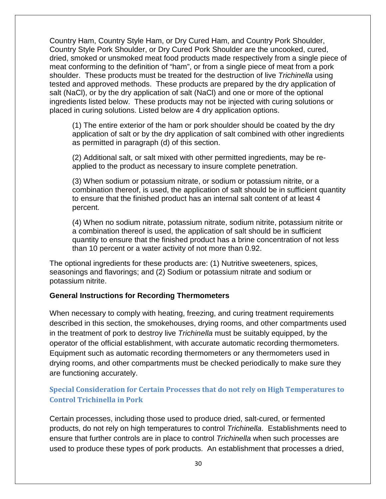meat conforming to the definition of "ham", or from a single piece of meat from a pork shoulder. These products must be treated for the destruction of live *Trichinella* using tested and approved methods. These products are prepared by the dry application of placed in curing solutions. Listed below are 4 dry application options. Country Ham, Country Style Ham, or Dry Cured Ham, and Country Pork Shoulder, Country Style Pork Shoulder, or Dry Cured Pork Shoulder are the uncooked, cured, dried, smoked or unsmoked meat food products made respectively from a single piece of salt (NaCl), or by the dry application of salt (NaCl) and one or more of the optional ingredients listed below. These products may not be injected with curing solutions or

(1) The entire exterior of the ham or pork shoulder should be coated by the dry application of salt or by the dry application of salt combined with other ingredients as permitted in paragraph (d) of this section.

(2) Additional salt, or salt mixed with other permitted ingredients, may be reapplied to the product as necessary to insure complete penetration.

 (3) When sodium or potassium nitrate, or sodium or potassium nitrite, or a to ensure that the finished product has an internal salt content of at least 4 combination thereof, is used, the application of salt should be in sufficient quantity percent.

 (4) When no sodium nitrate, potassium nitrate, sodium nitrite, potassium nitrite or than 10 percent or a water activity of not more than 0.92. a combination thereof is used, the application of salt should be in sufficient quantity to ensure that the finished product has a brine concentration of not less

The optional ingredients for these products are: (1) Nutritive sweeteners, spices, seasonings and flavorings; and (2) Sodium or potassium nitrate and sodium or potassium nitrite.

#### **General Instructions for Recording Thermometers**

 in the treatment of pork to destroy live *Trichinella* must be suitably equipped, by the are functioning accurately. When necessary to comply with heating, freezing, and curing treatment requirements described in this section, the smokehouses, drying rooms, and other compartments used operator of the official establishment, with accurate automatic recording thermometers. Equipment such as automatic recording thermometers or any thermometers used in drying rooms, and other compartments must be checked periodically to make sure they

#### <span id="page-34-0"></span>**Special Consideration for Certain Processes that do not rely on High Temperatures to Control Trichinella in Pork**

 ensure that further controls are in place to control *Trichinella* when such processes are used to produce these types of pork products. An establishment that processes a dried, Certain processes, including those used to produce dried, salt-cured, or fermented products, do not rely on high temperatures to control *Trichinella*. Establishments need to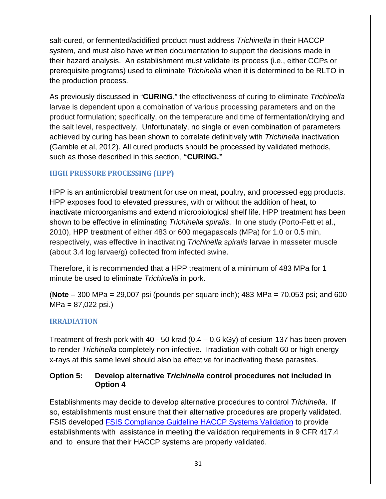salt-cured, or fermented/acidified product must address *Trichinella* in their HACCP system, and must also have written documentation to support the decisions made in their hazard analysis. An establishment must validate its process (i.e., either CCPs or prerequisite programs) used to eliminate *Trichinella* when it is determined to be RLTO in the production process.

 (Gamble et al, 2012). All cured products should be processed by validated methods, As previously discussed in "**CURING**," the effectiveness of curing to eliminate *Trichinella*  larvae is dependent upon a combination of various processing parameters and on the product formulation; specifically, on the temperature and time of fermentation/drying and the salt level, respectively. Unfortunately, no single or even combination of parameters achieved by curing has been shown to correlate definitively with *Trichinella* inactivation such as those described in this section, **"CURING."** 

#### <span id="page-35-0"></span> **HIGH PRESSURE PROCESSING (HPP)**

 HPP is an antimicrobial treatment for use on meat, poultry, and processed egg products. 2010), HPP treatment of either 483 or 600 megapascals (MPa) for 1.0 or 0.5 min, HPP exposes food to elevated pressures, with or without the addition of heat, to inactivate microorganisms and extend microbiological shelf life. HPP treatment has been shown to be effective in eliminating *Trichinella spiralis*. In one study (Porto-Fett et al., respectively, was effective in inactivating *Trichinella spiralis* larvae in masseter muscle (about 3.4 log larvae/g) collected from infected swine.

 Therefore, it is recommended that a HPP treatment of a minimum of 483 MPa for 1 minute be used to eliminate *Trichinella* in pork.

 (**Note** – 300 MPa = 29,007 psi (pounds per square inch); 483 MPa = 70,053 psi; and 600  $MPa = 87,022$  psi.)

#### <span id="page-35-1"></span>**IRRADIATION**

 Treatment of fresh pork with 40 - 50 krad (0.4 – 0.6 kGy) of cesium-137 has been proven to render *Trichinella* completely non-infective. Irradiation with cobalt-60 or high energy x-rays at this same level should also be effective for inactivating these parasites.

#### <span id="page-35-2"></span>**Option 5: Develop alternative** *Trichinella* **control procedures not included in Option 4**

 and to ensure that their HACCP systems are properly validated. Establishments may decide to develop alternative procedures to control *Trichinella*. If so, establishments must ensure that their alternative procedures are properly validated. FSIS developed FSIS [Compliance Guideline HACCP Systems Validation](http://www.fsis.usda.gov/wps/wcm/connect/a70bb780-e1ff-4a35-9a9a-3fb40c8fe584/HACCP_Systems_Validation.pdf?MOD=AJPERES) to provide establishments with assistance in meeting the validation requirements in 9 CFR 417.4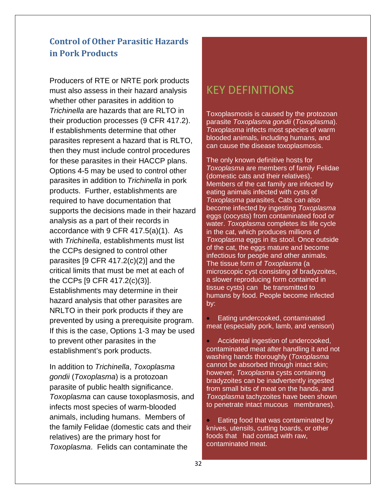## <span id="page-36-0"></span>**Control of Other Parasitic Hazards in Pork Products**

 Producers of RTE or NRTE pork products their production processes (9 CFR 417.2). for these parasites in their HACCP plans. products. Further, establishments are with *Trichinella*, establishments must list critical limits that must be met at each of prevented by using a prerequisite program. establishment's pork products. must also assess in their hazard analysis whether other parasites in addition to *Trichinella* are hazards that are RLTO in If establishments determine that other parasites represent a hazard that is RLTO, then they must include control procedures Options 4-5 may be used to control other parasites in addition to *Trichinella* in pork required to have documentation that supports the decisions made in their hazard analysis as a part of their records in accordance with 9 CFR 417.5(a)(1). As the CCPs designed to control other parasites [9 CFR 417.2(c)(2)] and the the CCPs [9 CFR 417.2(c)(3)]. Establishments may determine in their hazard analysis that other parasites are NRLTO in their pork products if they are If this is the case, Options 1-3 may be used to prevent other parasites in the

In addition to *Trichinella*, *Toxoplasma gondii* (*Toxoplasma*) is a protozoan parasite of public health significance. *Toxoplasma* can cause toxoplasmosis, and infects most species of warm-blooded animals, including humans. Members of the family Felidae (domestic cats and their relatives) are the primary host for *Toxoplasma*. Felids can contaminate the

# KEY DEFINITIONS

Toxoplasmosis is caused by the protozoan parasite *Toxoplasma gondii* (*Toxoplasma*). *Toxoplasma* infects most species of warm blooded animals, including humans, and can cause the disease toxoplasmosis.

 The only known definitive hosts for *Toxoplasma* are members of family Felidae (domestic cats and their relatives). eggs (oocysts) from contaminated food or tissue cysts) can be transmitted to Members of the cat family are infected by eating animals infected with cysts of *Toxoplasma* parasites. Cats can also become infected by ingesting *Toxoplasma*  water. *Toxoplasma* completes its life cycle in the cat, which produces millions of *Toxoplasma* eggs in its stool. Once outside of the cat, the eggs mature and become infectious for people and other animals. The tissue form of *Toxoplasma* (a microscopic cyst consisting of bradyzoites, a slower reproducing form contained in humans by food. People become infected by:

• Eating undercooked, contaminated meat (especially pork, lamb, and venison)

 to penetrate intact mucous membranes). • Accidental ingestion of undercooked, contaminated meat after handling it and not washing hands thoroughly (*Toxoplasma* cannot be absorbed through intact skin; however, *Toxoplasma* cysts containing bradyzoites can be inadvertently ingested from small bits of meat on the hands, and *Toxoplasma* tachyzoites have been shown

 foods that had contact with raw, • Eating food that was contaminated by knives, utensils, cutting boards, or other contaminated meat.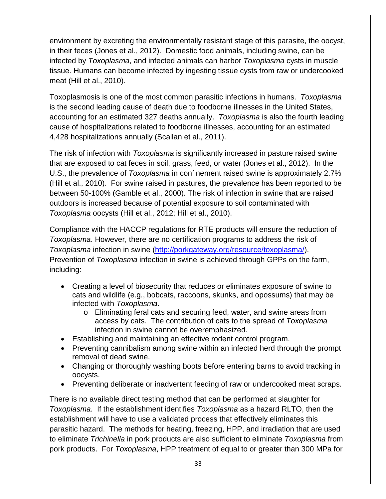environment by excreting the environmentally resistant stage of this parasite, the oocyst, in their feces (Jones et al., 2012). Domestic food animals, including swine, can be infected by *Toxoplasma*, and infected animals can harbor *Toxoplasma* cysts in muscle tissue. Humans can become infected by ingesting tissue cysts from raw or undercooked meat (Hill et al., 2010).

 Toxoplasmosis is one of the most common parasitic infections in humans. *Toxoplasma*  is the second leading cause of death due to foodborne illnesses in the United States, accounting for an estimated 327 deaths annually. *Toxoplasma* is also the fourth leading cause of hospitalizations related to foodborne illnesses, accounting for an estimated 4,428 hospitalizations annually (Scallan et al., 2011).

 that are exposed to cat feces in soil, grass, feed, or water (Jones et al., 2012). In the U.S., the prevalence of *Toxoplasma* in confinement raised swine is approximately 2.7% (Hill et al., 2010). For swine raised in pastures, the prevalence has been reported to be outdoors is increased because of potential exposure to soil contaminated with *Toxoplasma* oocysts (Hill et al., 2012; Hill et al., 2010). The risk of infection with *Toxoplasma* is significantly increased in pasture raised swine between 50-100% (Gamble et al., 2000). The risk of infection in swine that are raised

 Compliance with the HACCP regulations for RTE products will ensure the reduction of *Toxoplasma*. However, there are no certification programs to address the risk of *Toxoplasma* infection in swine [\(http://porkgateway.org/resource/toxoplasma/\).](http://porkgateway.org/resource/toxoplasma/) Prevention of *Toxoplasma* infection in swine is achieved through GPPs on the farm, including:

- • Creating a level of biosecurity that reduces or eliminates exposure of swine to cats and wildlife (e.g., bobcats, raccoons, skunks, and opossums) that may be infected with *Toxoplasma*.
	- o Eliminating feral cats and securing feed, water, and swine areas from access by cats. The contribution of cats to the spread of *Toxoplasma* infection in swine cannot be overemphasized.
- Establishing and maintaining an effective rodent control program.
- Preventing cannibalism among swine within an infected herd through the prompt removal of dead swine.
- Changing or thoroughly washing boots before entering barns to avoid tracking in oocysts.
- Preventing deliberate or inadvertent feeding of raw or undercooked meat scraps.

 There is no available direct testing method that can be performed at slaughter for *Toxoplasma*. If the establishment identifies *Toxoplasma* as a hazard RLTO, then the establishment will have to use a validated process that effectively eliminates this parasitic hazard. The methods for heating, freezing, HPP, and irradiation that are used to eliminate *Trichinella* in pork products are also sufficient to eliminate *Toxoplasma* from pork products. For *Toxoplasma*, HPP treatment of equal to or greater than 300 MPa for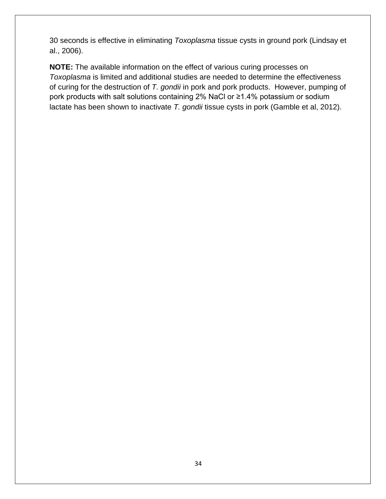30 seconds is effective in eliminating *Toxoplasma* tissue cysts in ground pork (Lindsay et al., 2006).

 of curing for the destruction of *T. gondii* in pork and pork products. However, pumping of pork products with salt solutions containing 2% NaCl or ≥1.4% potassium or sodium **NOTE:** The available information on the effect of various curing processes on *Toxoplasma* is limited and additional studies are needed to determine the effectiveness lactate has been shown to inactivate *T. gondii* tissue cysts in pork (Gamble et al, 2012).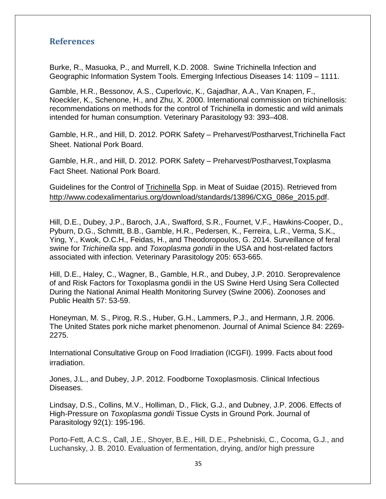#### <span id="page-39-0"></span>**References**

 Burke, R., Masuoka, P., and Murrell, K.D. 2008. Swine Trichinella Infection and Geographic Information System Tools. Emerging Infectious Diseases 14: 1109 – 1111.

 Noeckler, K., Schenone, H., and Zhu, X. 2000. International commission on trichinellosis: intended for human consumption. Veterinary Parasitology 93: 393–408. Gamble, H.R., Bessonov, A.S., Cuperlovic, K., Gajadhar, A.A., Van Knapen, F., recommendations on methods for the control of Trichinella in domestic and wild animals

Gamble, H.R., and Hill, D. 2012. PORK Safety – Preharvest/Postharvest,Trichinella Fact Sheet. National Pork Board.

Gamble, H.R., and Hill, D. 2012. PORK Safety – Preharvest/Postharvest,Toxplasma Fact Sheet. National Pork Board.

Guidelines for the Control of Trichinella Spp. in Meat of Suidae (2015). Retrieved from [http://www.codexalimentarius.org/download/standards/13896/CXG\\_086e\\_2015.pdf.](http://www.codexalimentarius.org/download/standards/13896/CXG_086e_2015.pdf)

 Ying, Y., Kwok, O.C.H., Feidas, H., and Theodoropoulos, G. 2014. Surveillance of feral swine for *Trichinella* spp. and *Toxoplasma gondii* in the USA and host-related factors Hill, D.E., Dubey, J.P., Baroch, J.A., Swafford, S.R., Fournet, V.F., Hawkins-Cooper, D., Pyburn, D.G., Schmitt, B.B., Gamble, H.R., Pedersen, K., Ferreira, L.R., Verma, S.K., associated with infection. Veterinary Parasitology 205: 653-665.

Hill, D.E., Haley, C., Wagner, B., Gamble, H.R., and Dubey, J.P. 2010. Seroprevalence of and Risk Factors for Toxoplasma gondii in the US Swine Herd Using Sera Collected During the National Animal Health Monitoring Survey (Swine 2006). Zoonoses and Public Health 57: 53-59.

 Honeyman, M. S., Pirog, R.S., Huber, G.H., Lammers, P.J., and Hermann, J.R. 2006. The United States pork niche market phenomenon. Journal of Animal Science 84: 2269- 2275.

International Consultative Group on Food Irradiation (ICGFI). 1999. Facts about food irradiation.

Jones, J.L., and Dubey, J.P. 2012. Foodborne Toxoplasmosis. Clinical Infectious Diseases.

 Lindsay, D.S., Collins, M.V., Holliman, D., Flick, G.J., and Dubney, J.P. 2006. Effects of High-Pressure on *Toxoplasma gondii* Tissue Cysts in Ground Pork. Journal of Parasitology 92(1): 195-196.

Porto-Fett, A.C.S., Call, J.E., Shoyer, B.E., Hill, D.E., Pshebniski, C., Cocoma, G.J., and Luchansky, J. B. 2010. Evaluation of fermentation, drying, and/or high pressure